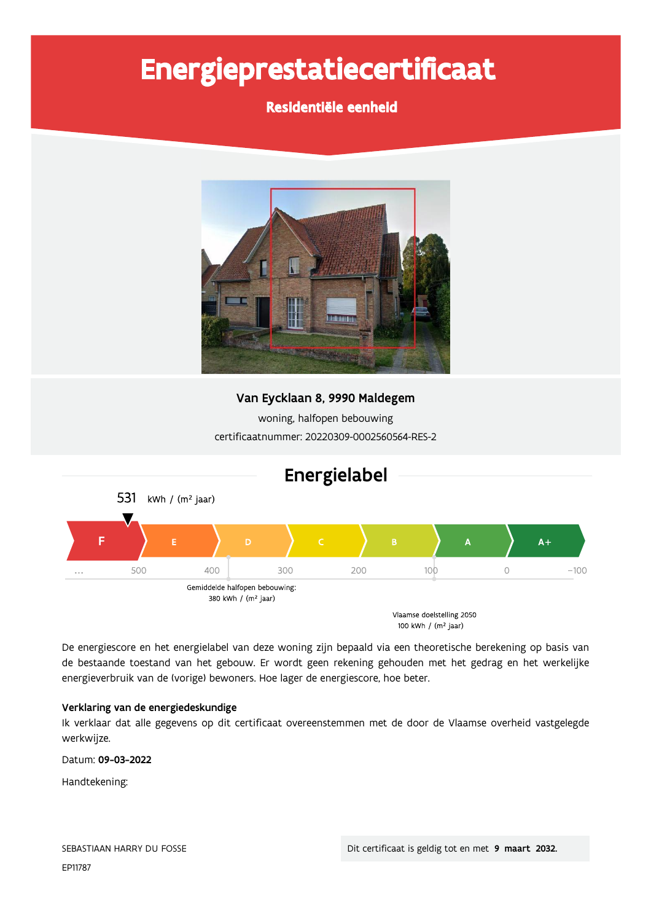# Energieprestatiecertificaat

# Residentiële eenheid



# Van Eycklaan 8, 9990 Maldegem

woning, halfopen bebouwing certificaatnummer: 20220309-0002560564-RES-2



De energiescore en het energielabel van deze woning zijn bepaald via een theoretische berekening op basis van de bestaande toestand van het gebouw. Er wordt geen rekening gehouden met het gedrag en het werkelijke energieverbruik van de (vorige) bewoners. Hoe lager de energiescore, hoe beter.

### Verklaring van de energiedeskundige

Ik verklaar dat alle gegevens op dit certificaat overeenstemmen met de door de Vlaamse overheid vastgelegde werkwijze.

Datum: 09-03-2022

Handtekening: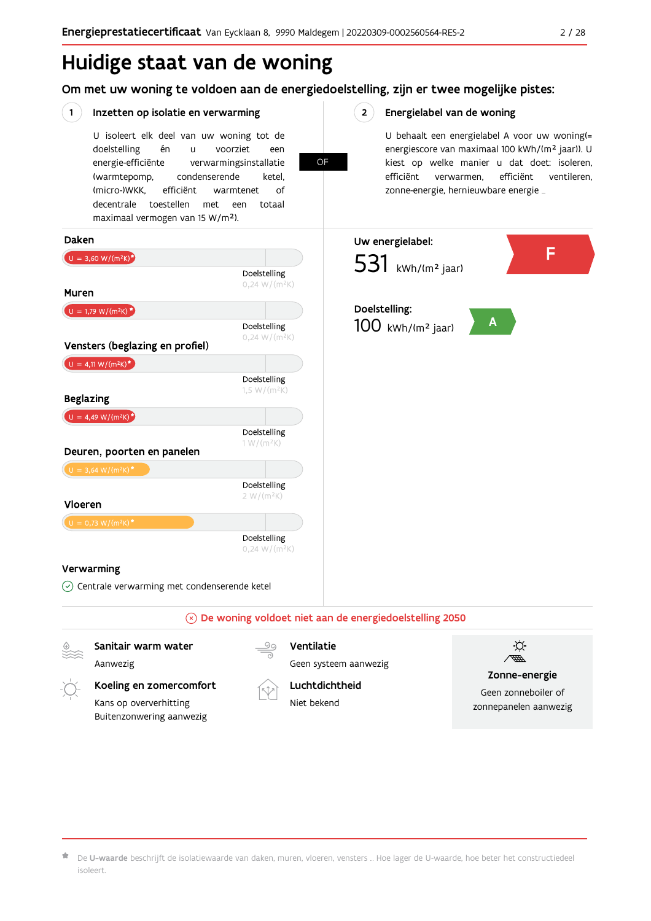# Huidige staat van de woning

Om met uw woning te voldoen aan de energiedoelstelling, zijn er twee mogelijke pistes:

**OF** 

#### $(1)$ Inzetten op isolatie en verwarming

U isoleert elk deel van uw woning tot de voorziet doelstelling én  $\mathbf{u}$ een energie-efficiënte verwarmingsinstallatie (warmtepomp, condenserende ketel. (micro-)WKK. efficiënt warmtenet  $\bigcap_{ }$ decentrale toestellen met een totaal maximaal vermogen van 15 W/m<sup>2</sup>).

#### $2^{\circ}$ Energielabel van de woning

U behaalt een energielabel A voor uw woning(= energiescore van maximaal 100 kWh/(m<sup>2</sup> jaar)). U kiest op welke manier u dat doet: isoleren, efficiënt efficiënt ventileren, verwarmen, zonne-energie, hernieuwbare energie ...



Aanwezig

Geen systeem aanwezig

# Koeling en zomercomfort

Kans op oververhitting Buitenzonwering aanwezig



Luchtdichtheid Niet bekend



#### Zonne-energie

Geen zonneboiler of zonnepanelen aanwezig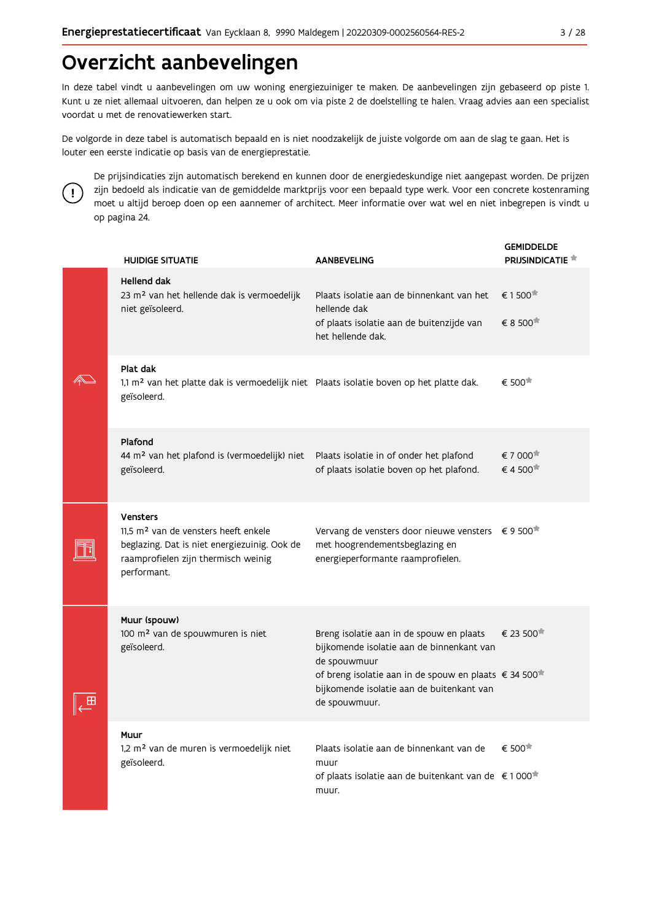# Overzicht aanbevelingen

In deze tabel vindt u aanbevelingen om uw woning energiezuiniger te maken. De aanbevelingen zijn gebaseerd op piste 1. Kunt u ze niet allemaal uitvoeren, dan helpen ze u ook om via piste 2 de doelstelling te halen. Vraag advies aan een specialist voordat u met de renovatiewerken start.

De volgorde in deze tabel is automatisch bepaald en is niet noodzakelijk de juiste volgorde om aan de slag te gaan. Het is louter een eerste indicatie op basis van de energieprestatie.



De prijsindicaties zijn automatisch berekend en kunnen door de energiedeskundige niet aangepast worden. De prijzen zijn bedoeld als indicatie van de gemiddelde marktprijs voor een bepaald type werk. Voor een concrete kostenraming moet u altijd beroep doen op een aannemer of architect. Meer informatie over wat wel en niet inbegrepen is vindt u op pagina 24.

|  | <b>HUIDIGE SITUATIE</b>                                                                                                                                                   | <b>AANBEVELING</b>                                                                                                                                                                                                                       | <b>GEMIDDELDE</b><br><b>PRIJSINDICATIE</b> |
|--|---------------------------------------------------------------------------------------------------------------------------------------------------------------------------|------------------------------------------------------------------------------------------------------------------------------------------------------------------------------------------------------------------------------------------|--------------------------------------------|
|  | <b>Hellend dak</b><br>23 m <sup>2</sup> van het hellende dak is vermoedelijk<br>niet geïsoleerd.                                                                          | Plaats isolatie aan de binnenkant van het<br>hellende dak<br>of plaats isolatie aan de buitenzijde van<br>het hellende dak.                                                                                                              | € 1500<br>€ 8 500                          |
|  | Plat dak<br>1,1 m <sup>2</sup> van het platte dak is vermoedelijk niet Plaats isolatie boven op het platte dak.<br>geïsoleerd.                                            |                                                                                                                                                                                                                                          | € 500                                      |
|  | Plafond<br>44 m <sup>2</sup> van het plafond is (vermoedelijk) niet<br>geïsoleerd.                                                                                        | Plaats isolatie in of onder het plafond<br>of plaats isolatie boven op het plafond.                                                                                                                                                      | € 7 000<br>€4500                           |
|  | <b>Vensters</b><br>11.5 m <sup>2</sup> van de vensters heeft enkele<br>beglazing. Dat is niet energiezuinig. Ook de<br>raamprofielen zijn thermisch weinig<br>performant. | Vervang de vensters door nieuwe vensters € 9 500 <sup>★</sup><br>met hoogrendementsbeglazing en<br>energieperformante raamprofielen.                                                                                                     |                                            |
|  | Muur (spouw)<br>100 m <sup>2</sup> van de spouwmuren is niet<br>geïsoleerd.                                                                                               | Breng isolatie aan in de spouw en plaats<br>bijkomende isolatie aan de binnenkant van<br>de spouwmuur<br>of breng isolatie aan in de spouw en plaats € 34 500 <sup>*</sup><br>bijkomende isolatie aan de buitenkant van<br>de spouwmuur. | € 23 500                                   |
|  | Muur<br>1,2 m <sup>2</sup> van de muren is vermoedelijk niet<br>geïsoleerd.                                                                                               | Plaats isolatie aan de binnenkant van de<br>muur<br>of plaats isolatie aan de buitenkant van de €1000 <sup>★</sup><br>muur.                                                                                                              | € 500 <sup>★</sup>                         |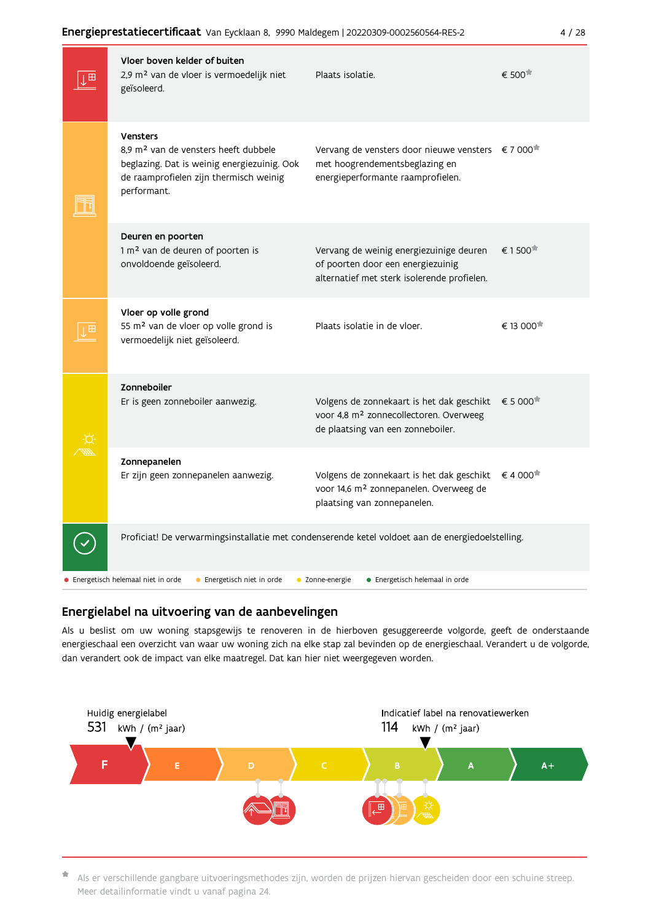|   | Vloer boven kelder of buiten<br>2,9 m <sup>2</sup> van de vloer is vermoedelijk niet<br>geïsoleerd.                                                                  | Plaats isolatie.                                                                                                                              | € 500                 |
|---|----------------------------------------------------------------------------------------------------------------------------------------------------------------------|-----------------------------------------------------------------------------------------------------------------------------------------------|-----------------------|
|   | Vensters<br>8,9 m <sup>2</sup> van de vensters heeft dubbele<br>beglazing. Dat is weinig energiezuinig. Ook<br>de raamprofielen zijn thermisch weinig<br>performant. | Vervang de vensters door nieuwe vensters $\epsilon$ 7 000 <sup>*</sup><br>met hoogrendementsbeglazing en<br>energieperformante raamprofielen. |                       |
|   | Deuren en poorten<br>1 m <sup>2</sup> van de deuren of poorten is<br>onvoldoende geïsoleerd.                                                                         | Vervang de weinig energiezuinige deuren<br>of poorten door een energiezuinig<br>alternatief met sterk isolerende profielen.                   | € 1500                |
| ⊞ | Vloer op volle grond<br>55 m <sup>2</sup> van de vloer op volle grond is<br>vermoedelijk niet geïsoleerd.                                                            | Plaats isolatie in de vloer.                                                                                                                  | € 13 000 <sup>*</sup> |
|   | Zonneboiler<br>Er is geen zonneboiler aanwezig.                                                                                                                      | Volgens de zonnekaart is het dak geschikt<br>voor 4,8 m <sup>2</sup> zonnecollectoren. Overweeg<br>de plaatsing van een zonneboiler.          | € 5 000               |
|   | Zonnepanelen<br>Er zijn geen zonnepanelen aanwezig.                                                                                                                  | Volgens de zonnekaart is het dak geschikt<br>voor 14,6 m <sup>2</sup> zonnepanelen. Overweeg de<br>plaatsing van zonnepanelen.                | €4 000                |
|   | Proficiat! De verwarmingsinstallatie met condenserende ketel voldoet aan de energiedoelstelling.                                                                     |                                                                                                                                               |                       |
|   | • Energetisch helemaal niet in orde<br>• Energetisch niet in orde                                                                                                    | • Energetisch helemaal in orde<br>• Zonne-energie                                                                                             |                       |

### Energielabel na uitvoering van de aanbevelingen

Als u beslist om uw woning stapsgewijs te renoveren in de hierboven gesuggereerde volgorde, geeft de onderstaande energieschaal een overzicht van waar uw woning zich na elke stap zal bevinden op de energieschaal. Verandert u de volgorde, dan verandert ook de impact van elke maatregel. Dat kan hier niet weergegeven worden.



\* Als er verschillende gangbare uitvoeringsmethodes zijn, worden de prijzen hiervan gescheiden door een schuine streep. Meer detailinformatie vindt u vanaf pagina 24.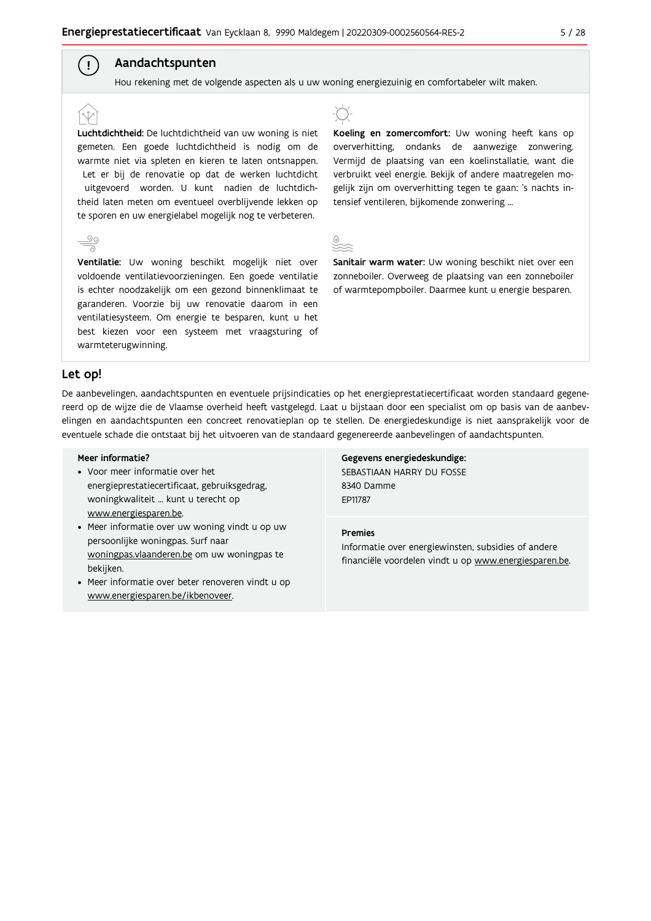# Aandachtspunten

Hou rekening met de volgende aspecten als u uw woning energiezuinig en comfortabeler wilt maken.

Luchtdichtheid: De luchtdichtheid van uw woning is niet gemeten. Een goede luchtdichtheid is nodig om de warmte niet via spleten en kieren te laten ontsnappen. Let er bij de renovatie op dat de werken luchtdicht uitgevoerd worden. U kunt nadien de luchtdichtheid laten meten om eventueel overblijvende lekken op te sporen en uw energielabel mogelijk nog te verbeteren.





Koeling en zomercomfort: Uw woning heeft kans op oververhitting, ondanks de aanwezige zonwering. Vermijd de plaatsing van een koelinstallatie, want die verbruikt veel energie. Bekijk of andere maatregelen mogelijk zijn om oververhitting tegen te gaan: 's nachts intensief ventileren, bijkomende zonwering ...

| . .<br>. .<br>$\frac{1}{2}$<br>-<br>v<br>. .<br>. .<br>۰.<br>٧ |  |  |  |
|----------------------------------------------------------------|--|--|--|
|                                                                |  |  |  |
|                                                                |  |  |  |

Sanitair warm water: Uw woning beschikt niet over een zonneboiler. Overweeg de plaatsing van een zonneboiler of warmtepompboiler. Daarmee kunt u energie besparen.

#### Let op!

 $\left( \ \cdot \right)$ 

De aanbevelingen, aandachtspunten en eventuele prijsindicaties op het energieprestatiecertificaat worden standaard gegenereerd op de wijze die de Vlaamse overheid heeft vastgelegd. Laat u bijstaan door een specialist om op basis van de aanbevelingen en aandachtspunten een concreet renovatieplan op te stellen. De energiedeskundige is niet aansprakelijk voor de eventuele schade die ontstaat bij het uitvoeren van de standaard gegenereerde aanbevelingen of aandachtspunten.

#### Meer informatie?

- Voor meer informatie over het energieprestatiecertificaat, gebruiksgedrag, woningkwaliteit ... kunt u terecht op www.energiesparen.be.
- Meer informatie over uw woning vindt u op uw persoonlijke woningpas. Surf naar woningpas.vlaanderen.be om uw woningpas te bekijken.
- Meer informatie over beter renoveren vindt u op www.energiesparen.be/ikbenoveer.

Gegevens energiedeskundige: SEBASTIAAN HARRY DU FOSSE 8340 Damme FD11787

#### **Premies**

Informatie over energiewinsten, subsidies of andere financiële voordelen vindt u op www.energiesparen.be.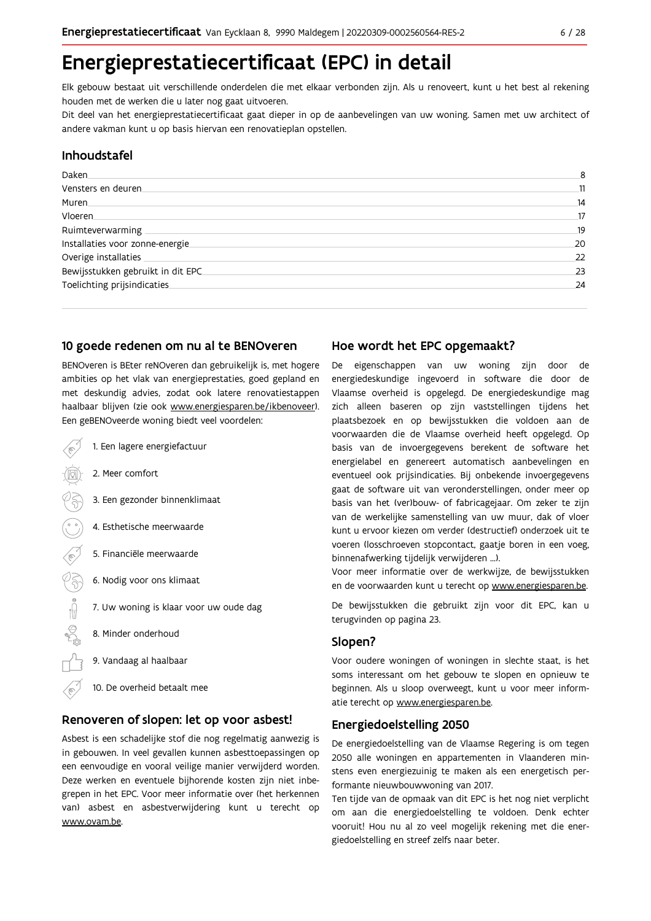# Energieprestatiecertificaat (EPC) in detail

Elk gebouw bestaat uit verschillende onderdelen die met elkaar verbonden zijn. Als u renoveert, kunt u het best al rekening houden met de werken die u later nog gaat uitvoeren.

Dit deel van het energieprestatiecertificaat gaat dieper in op de aanbevelingen van uw woning. Samen met uw architect of andere vakman kunt u op basis hiervan een renovatieplan opstellen.

#### Inhoudstafel

| Daken.                            | 8  |
|-----------------------------------|----|
| Vensters en deuren                | 11 |
| Muren                             | 14 |
| <b>Vloeren</b>                    | 17 |
| Ruimteverwarming                  | 19 |
| Installaties voor zonne-energie.  | 20 |
| Overige installaties              | 22 |
| Bewijsstukken gebruikt in dit EPC | 23 |
| Toelichting prijsindicaties       | 24 |
|                                   |    |

### 10 goede redenen om nu al te BENOveren

BENOveren is BEter reNOveren dan gebruikelijk is, met hogere ambities op het vlak van energieprestaties, goed gepland en met deskundig advies, zodat ook latere renovatiestappen haalbaar blijven (zie ook www.energiesparen.be/ikbenoveer). Een geBENOveerde woning biedt veel voordelen:

1. Een lagere energiefactuur 2. Meer comfort 3. Een gezonder binnenklimaat 4. Esthetische meerwaarde 5. Financiële meerwaarde  $\sqrt{3}$ 6. Nodig voor ons klimaat  $\begin{picture}(180,170)(-210,170)(-210,170)(-210,170)(-210,170)(-210,170)(-210,170)(-210,170)(-210,170)(-210,170)(-210,170)(-210,170)(-210,170)(-210,170)(-210,170)(-210,170)(-210,170)(-210,170)(-210,170)(-210,170)(-210,170)(-210,170)(-210,170)(-210,170)($ 7. Uw woning is klaar voor uw oude dag 8. Minder onderhoud 9. Vandaag al haalbaar 10. De overheid betaalt mee

### Renoveren of slopen: let op voor asbest!

Asbest is een schadelijke stof die nog regelmatig aanwezig is in gebouwen. In veel gevallen kunnen asbesttoepassingen op een eenvoudige en vooral veilige manier verwijderd worden. Deze werken en eventuele bijhorende kosten zijn niet inbegrepen in het EPC. Voor meer informatie over (het herkennen van) asbest en asbestverwijdering kunt u terecht op www.ovam.be.

### Hoe wordt het EPC opgemaakt?

De eigenschappen van uw woning zijn door de energiedeskundige ingevoerd in software die door de Vlaamse overheid is opgelegd. De energiedeskundige mag zich alleen baseren op zijn vaststellingen tijdens het plaatsbezoek en op bewijsstukken die voldoen aan de voorwaarden die de Vlaamse overheid heeft opgelegd. Op basis van de invoergegevens berekent de software het energielabel en genereert automatisch aanbevelingen en eventueel ook prijsindicaties. Bij onbekende invoergegevens gaat de software uit van veronderstellingen, onder meer op basis van het (ver)bouw- of fabricagejaar. Om zeker te zijn van de werkelijke samenstelling van uw muur, dak of vloer kunt u ervoor kiezen om verder (destructief) onderzoek uit te voeren (losschroeven stopcontact, gaatje boren in een voeg, binnenafwerking tijdelijk verwijderen ...).

Voor meer informatie over de werkwijze, de bewijsstukken en de voorwaarden kunt u terecht op www.energiesparen.be.

De bewijsstukken die gebruikt zijn voor dit EPC, kan u terugvinden op pagina 23.

### Slopen?

Voor oudere woningen of woningen in slechte staat, is het soms interessant om het gebouw te slopen en opnieuw te beginnen. Als u sloop overweegt, kunt u voor meer informatie terecht op www.energiesparen.be.

#### **Energiedoelstelling 2050**

De energiedoelstelling van de Vlaamse Regering is om tegen 2050 alle woningen en appartementen in Vlaanderen minstens even energiezuinig te maken als een energetisch performante nieuwbouwwoning van 2017.

Ten tijde van de opmaak van dit EPC is het nog niet verplicht om aan die energiedoelstelling te voldoen. Denk echter vooruit! Hou nu al zo veel mogelijk rekening met die energiedoelstelling en streef zelfs naar beter.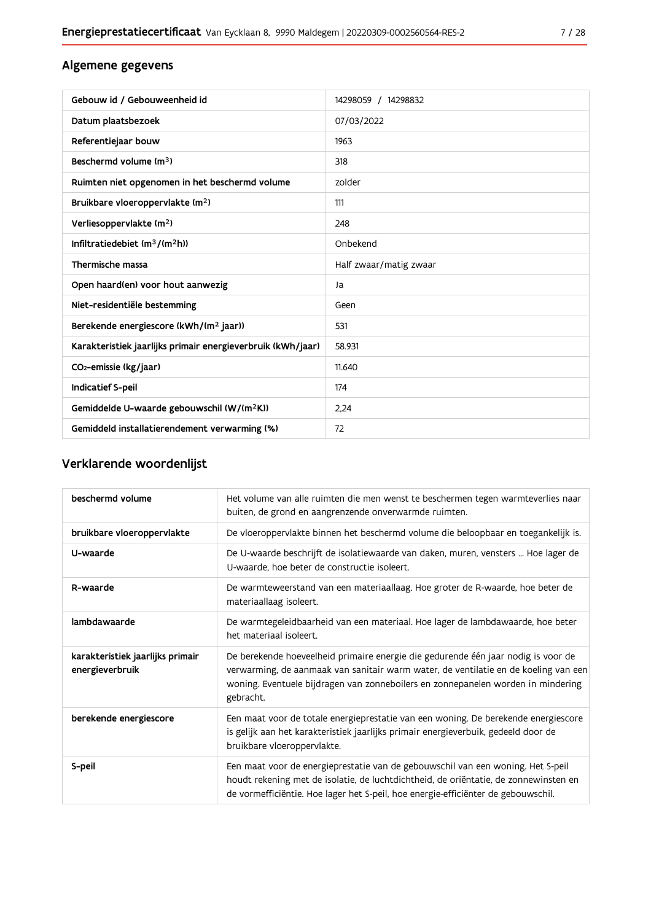# Algemene gegevens

| Gebouw id / Gebouweenheid id                                | 14298059 / 14298832    |
|-------------------------------------------------------------|------------------------|
| Datum plaatsbezoek                                          | 07/03/2022             |
| Referentiejaar bouw                                         | 1963                   |
| Beschermd volume (m <sup>3</sup> )                          | 318                    |
| Ruimten niet opgenomen in het beschermd volume              | zolder                 |
| Bruikbare vloeroppervlakte (m <sup>2</sup> )                | 111                    |
| Verliesoppervlakte (m <sup>2</sup> )                        | 248                    |
| Infiltratiedebiet $(m^3/(m^2h))$                            | Onbekend               |
| Thermische massa                                            | Half zwaar/matig zwaar |
| Open haard(en) voor hout aanwezig                           | Ja                     |
| Niet-residentiële bestemming                                | Geen                   |
| Berekende energiescore (kWh/(m <sup>2</sup> jaar))          | 531                    |
| Karakteristiek jaarlijks primair energieverbruik (kWh/jaar) | 58.931                 |
| CO2-emissie (kg/jaar)                                       | 11.640                 |
| Indicatief S-peil                                           | 174                    |
| Gemiddelde U-waarde gebouwschil (W/(m <sup>2</sup> K))      | 2.24                   |
| Gemiddeld installatierendement verwarming (%)               | 72                     |

# Verklarende woordenlijst

| beschermd volume                                    | Het volume van alle ruimten die men wenst te beschermen tegen warmteverlies naar<br>buiten, de grond en aangrenzende onverwarmde ruimten.                                                                                                                                 |
|-----------------------------------------------------|---------------------------------------------------------------------------------------------------------------------------------------------------------------------------------------------------------------------------------------------------------------------------|
| bruikbare vloeroppervlakte                          | De vloeroppervlakte binnen het beschermd volume die beloopbaar en toegankelijk is.                                                                                                                                                                                        |
| U-waarde                                            | De U-waarde beschrijft de isolatiewaarde van daken, muren, vensters  Hoe lager de<br>U-waarde, hoe beter de constructie isoleert.                                                                                                                                         |
| R-waarde                                            | De warmteweerstand van een materiaallaag. Hoe groter de R-waarde, hoe beter de<br>materiaallaag isoleert.                                                                                                                                                                 |
| lambdawaarde                                        | De warmtegeleidbaarheid van een materiaal. Hoe lager de lambdawaarde, hoe beter<br>het materiaal isoleert.                                                                                                                                                                |
| karakteristiek jaarlijks primair<br>energieverbruik | De berekende hoeveelheid primaire energie die gedurende één jaar nodig is voor de<br>verwarming, de aanmaak van sanitair warm water, de ventilatie en de koeling van een<br>woning. Eventuele bijdragen van zonneboilers en zonnepanelen worden in mindering<br>gebracht. |
| berekende energiescore                              | Een maat voor de totale energieprestatie van een woning. De berekende energiescore<br>is gelijk aan het karakteristiek jaarlijks primair energieverbuik, gedeeld door de<br>bruikbare vloeroppervlakte.                                                                   |
| S-peil                                              | Een maat voor de energieprestatie van de gebouwschil van een woning. Het S-peil<br>houdt rekening met de isolatie, de luchtdichtheid, de oriëntatie, de zonnewinsten en<br>de vormefficiëntie. Hoe lager het S-peil, hoe energie-efficiënter de gebouwschil.              |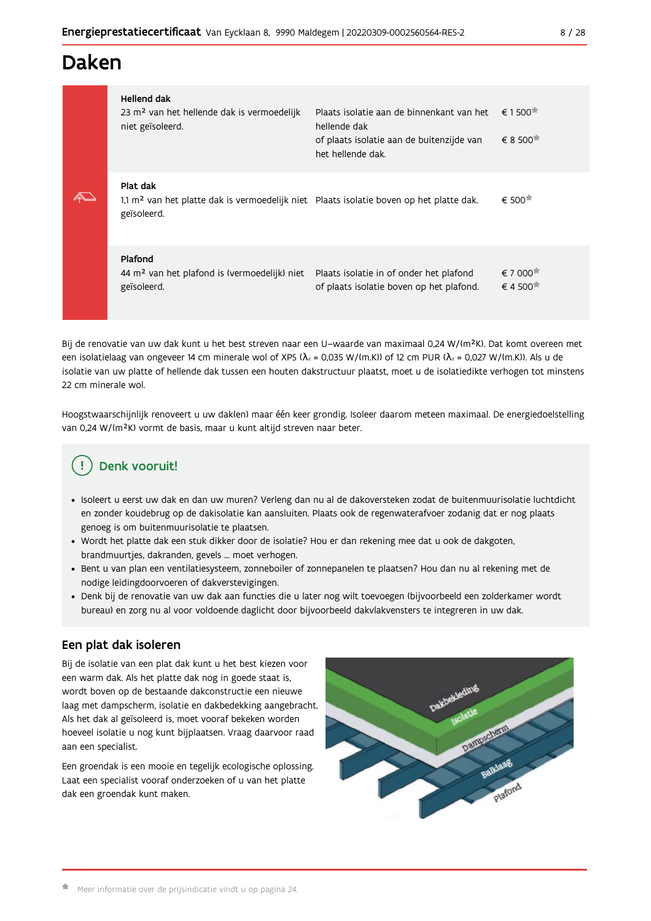# Daken

| Hellend dak<br>23 m <sup>2</sup> van het hellende dak is vermoedelijk<br>niet geïsoleerd.                                      | Plaats isolatie aan de binnenkant van het<br>hellende dak<br>of plaats isolatie aan de buitenzijde van<br>het hellende dak. | $\epsilon$ 1500 <sup><math>\pi</math></sup><br>$\epsilon$ 8 500 $\pi$ |
|--------------------------------------------------------------------------------------------------------------------------------|-----------------------------------------------------------------------------------------------------------------------------|-----------------------------------------------------------------------|
| Plat dak<br>1,1 m <sup>2</sup> van het platte dak is vermoedelijk niet Plaats isolatie boven op het platte dak.<br>geïsoleerd. |                                                                                                                             | $\epsilon$ 500 $\pm$                                                  |
| Plafond<br>44 m <sup>2</sup> van het plafond is (vermoedelijk) niet<br>geïsoleerd.                                             | Plaats isolatie in of onder het plafond<br>of plaats isolatie boven op het plafond.                                         | € 7 000 <sup>★</sup><br>$\epsilon$ 4 500 $\pi$                        |

Bij de renovatie van uw dak kunt u het best streven naar een U-waarde van maximaal 0.24 W/(m<sup>2</sup>K). Dat komt overeen met een isolatielaag van ongeveer 14 cm minerale wol of XPS ( $\lambda_a$  = 0,035 W/(m.K)) of 12 cm PUR ( $\lambda_a$  = 0,027 W/(m.K)). Als u de isolatie van uw platte of hellende dak tussen een houten dakstructuur plaatst, moet u de isolatiedikte verhogen tot minstens 22 cm minerale wol.

Hoogstwaarschijnlijk renoveert u uw dak(en) maar één keer grondig. Isoleer daarom meteen maximaal. De energiedoelstelling van 0,24 W/(m<sup>2</sup>K) vormt de basis, maar u kunt altijd streven naar beter.

# Denk vooruit!

- · Isoleert u eerst uw dak en dan uw muren? Verleng dan nu al de dakoversteken zodat de buitenmuurisolatie luchtdicht en zonder koudebrug op de dakisolatie kan aansluiten. Plaats ook de regenwaterafvoer zodanig dat er nog plaats genoeg is om buitenmuurisolatie te plaatsen.
- · Wordt het platte dak een stuk dikker door de isolatie? Hou er dan rekening mee dat u ook de dakgoten, brandmuurtjes, dakranden, gevels ... moet verhogen.
- · Bent u van plan een ventilatiesysteem, zonneboiler of zonnepanelen te plaatsen? Hou dan nu al rekening met de nodige leidingdoorvoeren of dakverstevigingen.
- · Denk bij de renovatie van uw dak aan functies die u later nog wilt toevoegen (bijvoorbeeld een zolderkamer wordt bureau) en zorg nu al voor voldoende daglicht door bijvoorbeeld dakvlakvensters te integreren in uw dak.

# Een plat dak isoleren

Bij de isolatie van een plat dak kunt u het best kiezen voor een warm dak. Als het platte dak nog in goede staat is, wordt boven op de bestaande dakconstructie een nieuwe laag met dampscherm, isolatie en dakbedekking aangebracht. Als het dak al geïsoleerd is, moet vooraf bekeken worden hoeveel isolatie u nog kunt bijplaatsen. Vraag daarvoor raad aan een specialist.

Een groendak is een mooie en tegelijk ecologische oplossing. Laat een specialist vooraf onderzoeken of u van het platte dak een groendak kunt maken.

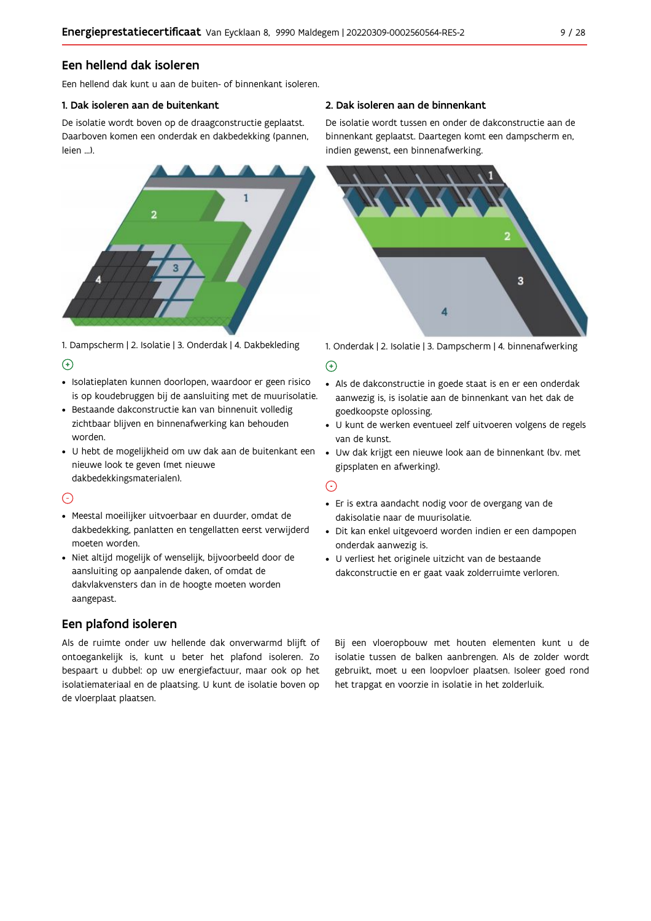## Een hellend dak isoleren

Een hellend dak kunt u aan de buiten- of binnenkant isoleren.

#### 1. Dak isoleren aan de buitenkant

De isolatie wordt boven op de draagconstructie geplaatst. Daarboven komen een onderdak en dakbedekking (pannen, leien ...).



1. Dampscherm | 2. Isolatie | 3. Onderdak | 4. Dakbekleding  $\Theta$ 

- · Isolatieplaten kunnen doorlopen, waardoor er geen risico is op koudebruggen bij de aansluiting met de muurisolatie.
- · Bestaande dakconstructie kan van binnenuit volledig zichtbaar blijven en binnenafwerking kan behouden worden.
- · U hebt de mogelijkheid om uw dak aan de buitenkant een nieuwe look te geven (met nieuwe dakbedekkingsmaterialen).

### $\odot$

- · Meestal moeilijker uitvoerbaar en duurder, omdat de dakbedekking, panlatten en tengellatten eerst verwijderd moeten worden.
- · Niet altijd mogelijk of wenselijk, bijvoorbeeld door de aansluiting op aanpalende daken, of omdat de dakvlakvensters dan in de hoogte moeten worden aangepast.

# Een plafond isoleren

Als de ruimte onder uw hellende dak onverwarmd blijft of ontoegankelijk is, kunt u beter het plafond isoleren. Zo bespaart u dubbel: op uw energiefactuur, maar ook op het isolatiemateriaal en de plaatsing. U kunt de isolatie boven op de vloerplaat plaatsen.

#### 2. Dak isoleren aan de binnenkant

De isolatie wordt tussen en onder de dakconstructie aan de binnenkant geplaatst. Daartegen komt een dampscherm en, indien gewenst, een binnenafwerking.



1. Onderdak | 2. Isolatie | 3. Dampscherm | 4. binnenafwerking

#### $\bigoplus$

- Als de dakconstructie in goede staat is en er een onderdak aanwezig is, is isolatie aan de binnenkant van het dak de goedkoopste oplossing.
- · U kunt de werken eventueel zelf uitvoeren volgens de regels van de kunst.
- · Uw dak krijgt een nieuwe look aan de binnenkant (bv. met gipsplaten en afwerking).

#### $\odot$

- · Er is extra aandacht nodig voor de overgang van de dakisolatie naar de muurisolatie.
- · Dit kan enkel uitgevoerd worden indien er een dampopen onderdak aanwezig is.
- · U verliest het originele uitzicht van de bestaande dakconstructie en er gaat vaak zolderruimte verloren.

Bij een vloeropbouw met houten elementen kunt u de isolatie tussen de balken aanbrengen. Als de zolder wordt gebruikt, moet u een loopvloer plaatsen. Isoleer goed rond het trapgat en voorzie in isolatie in het zolderluik.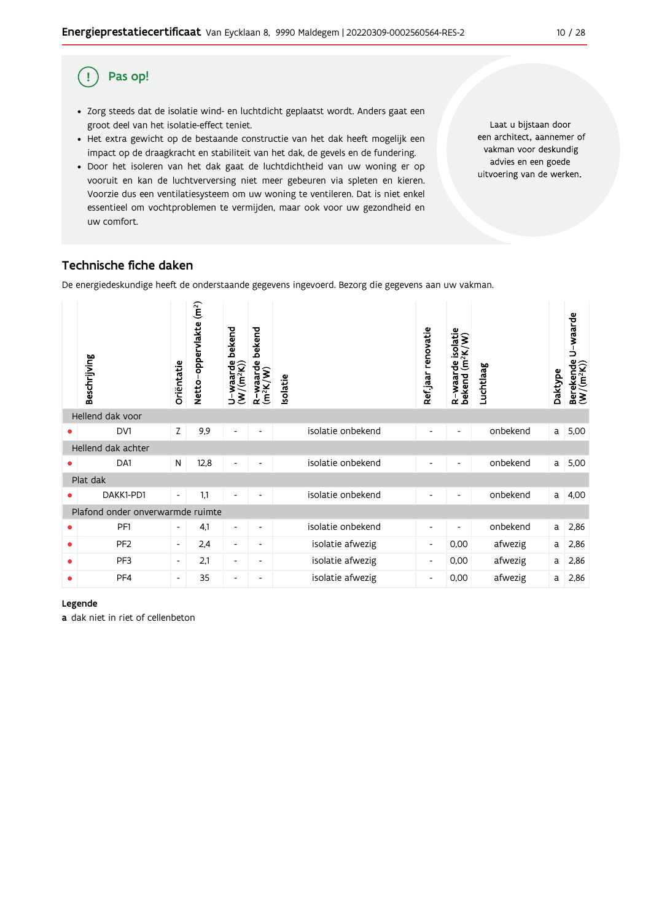#### Pas op! (!

- · Zorg steeds dat de isolatie wind- en luchtdicht geplaatst wordt. Anders gaat een groot deel van het isolatie-effect teniet.
- · Het extra gewicht op de bestaande constructie van het dak heeft mogelijk een impact op de draagkracht en stabiliteit van het dak, de gevels en de fundering.
- · Door het isoleren van het dak gaat de luchtdichtheid van uw woning er op vooruit en kan de luchtverversing niet meer gebeuren via spleten en kieren. Voorzie dus een ventilatiesysteem om uw woning te ventileren. Dat is niet enkel essentieel om vochtproblemen te vermijden, maar ook voor uw gezondheid en uw comfort.

Laat u bijstaan door een architect, aannemer of vakman voor deskundig advies en een goede uitvoering van de werken.

# Technische fiche daken

De energiedeskundige heeft de onderstaande gegevens ingevoerd. Bezorg die gegevens aan uw vakman.

|                    | Beschrijving                     | Oriëntatie               | (m <sup>2</sup> )<br>Netto-oppervlakte | bekend<br>U-waarde l<br>(W/(m <sup>2</sup> K)) | bekend<br>R-waarde l<br>(m <sup>2</sup> K/W) | solatie |                   | Refjaar renovatie        | R-waarde isolatie<br>bekend (m <sup>2</sup> K/W) | Luchtlaag | Daktype | U-waarde<br>Berekende I<br>(W/(m <sup>2</sup> K)) |
|--------------------|----------------------------------|--------------------------|----------------------------------------|------------------------------------------------|----------------------------------------------|---------|-------------------|--------------------------|--------------------------------------------------|-----------|---------|---------------------------------------------------|
|                    | Hellend dak voor                 |                          |                                        |                                                |                                              |         |                   |                          |                                                  |           |         |                                                   |
|                    | DV1                              | Z                        | 9,9                                    | $\overline{\phantom{a}}$                       | $\overline{\phantom{0}}$                     |         | isolatie onbekend | $\overline{\phantom{0}}$ | $\overline{\phantom{a}}$                         | onbekend  | a       | 5,00                                              |
| Hellend dak achter |                                  |                          |                                        |                                                |                                              |         |                   |                          |                                                  |           |         |                                                   |
|                    | DA1                              | N                        | 12,8                                   | $\overline{\phantom{0}}$                       |                                              |         | isolatie onbekend |                          |                                                  | onbekend  | a       | 5,00                                              |
| Plat dak           |                                  |                          |                                        |                                                |                                              |         |                   |                          |                                                  |           |         |                                                   |
|                    | DAKK1-PD1                        | $\overline{\phantom{a}}$ | 1,1                                    |                                                |                                              |         | isolatie onbekend |                          |                                                  | onbekend  | a       | 4,00                                              |
|                    | Plafond onder onverwarmde ruimte |                          |                                        |                                                |                                              |         |                   |                          |                                                  |           |         |                                                   |
| ٠                  | PF1                              | $\overline{\phantom{a}}$ | 4,1                                    | $\overline{\phantom{a}}$                       | ٠                                            |         | isolatie onbekend | $\overline{\phantom{a}}$ |                                                  | onbekend  | a       | 2,86                                              |
| ٠                  | PF <sub>2</sub>                  | $\overline{\phantom{a}}$ | 2,4                                    | $\overline{\phantom{a}}$                       | $\overline{\phantom{a}}$                     |         | isolatie afwezig  | $\overline{\phantom{a}}$ | 0,00                                             | afwezig   | a       | 2,86                                              |
| ٠                  | PF3                              | $\overline{\phantom{a}}$ | 2,1                                    | $\overline{\phantom{a}}$                       | -                                            |         | isolatie afwezig  | $\overline{\phantom{a}}$ | 0,00                                             | afwezig   | a       | 2,86                                              |
| ٠                  | PF4                              | $\overline{\phantom{a}}$ | 35                                     | $\overline{\phantom{a}}$                       | $\overline{\phantom{a}}$                     |         | isolatie afwezig  | $\overline{\phantom{a}}$ | 0,00                                             | afwezig   | a       | 2,86                                              |

#### Legende

a dak niet in riet of cellenbeton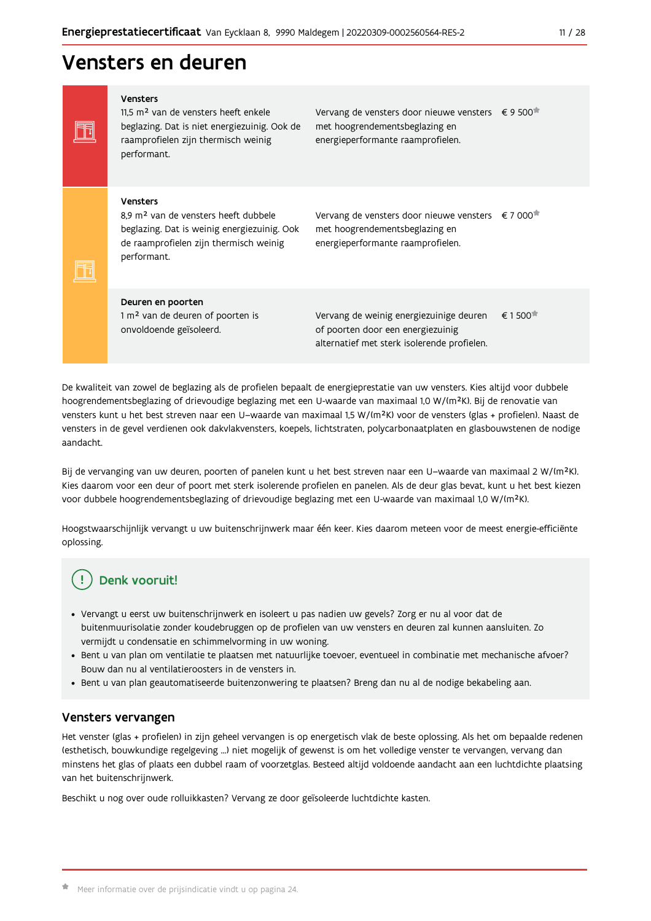# Vensters en deuren

|  | <b>Vensters</b><br>11.5 m <sup>2</sup> van de vensters heeft enkele<br>beglazing. Dat is niet energiezuinig. Ook de<br>raamprofielen zijn thermisch weinig<br>performant.   | Vervang de vensters door nieuwe vensters € 9 500 <sup>*</sup><br>met hoogrendementsbeglazing en<br>energieperformante raamprofielen. |                                              |
|--|-----------------------------------------------------------------------------------------------------------------------------------------------------------------------------|--------------------------------------------------------------------------------------------------------------------------------------|----------------------------------------------|
|  | <b>Vensters</b><br>8.9 m <sup>2</sup> van de vensters heeft dubbele<br>beglazing. Dat is weinig energiezuinig. Ook<br>de raamprofielen zijn thermisch weinig<br>performant. | Vervang de vensters door nieuwe vensters<br>met hoogrendementsbeglazing en<br>energieperformante raamprofielen.                      | € 7 000                                      |
|  | Deuren en poorten<br>1 m <sup>2</sup> van de deuren of poorten is<br>onvoldoende geïsoleerd.                                                                                | Vervang de weinig energiezuinige deuren<br>of poorten door een energiezuinig<br>alternatief met sterk isolerende profielen.          | $\epsilon$ 1 500 <sup><math>\pi</math></sup> |

De kwaliteit van zowel de beglazing als de profielen bepaalt de energieprestatie van uw vensters. Kies altijd voor dubbele hoogrendementsbeglazing of drievoudige beglazing met een U-waarde van maximaal 1,0 W/(m<sup>2</sup>K). Bij de renovatie van vensters kunt u het best streven naar een U-waarde van maximaal 1,5 W/(m<sup>2</sup>K) voor de vensters (glas + profielen). Naast de vensters in de gevel verdienen ook dakvlakvensters, koepels, lichtstraten, polycarbonaatplaten en glasbouwstenen de nodige aandacht.

Bij de vervanging van uw deuren, poorten of panelen kunt u het best streven naar een U-waarde van maximaal 2 W/(m<sup>2</sup>K). Kies daarom voor een deur of poort met sterk isolerende profielen en panelen. Als de deur glas bevat, kunt u het best kiezen voor dubbele hoogrendementsbeglazing of drievoudige beglazing met een U-waarde van maximaal 1,0 W/(m<sup>2</sup>K).

Hoogstwaarschijnlijk vervangt u uw buitenschrijnwerk maar één keer. Kies daarom meteen voor de meest energie-efficiënte oplossing.

# Denk vooruit!

- · Vervangt u eerst uw buitenschrijnwerk en isoleert u pas nadien uw gevels? Zorg er nu al voor dat de buitenmuurisolatie zonder koudebruggen op de profielen van uw vensters en deuren zal kunnen aansluiten. Zo vermijdt u condensatie en schimmelvorming in uw woning.
- Bent u van plan om ventilatie te plaatsen met natuurlijke toevoer, eventueel in combinatie met mechanische afvoer? Bouw dan nu al ventilatieroosters in de vensters in.
- · Bent u van plan geautomatiseerde buitenzonwering te plaatsen? Breng dan nu al de nodige bekabeling aan.

# Vensters vervangen

Het venster (glas + profielen) in zijn geheel vervangen is op energetisch vlak de beste oplossing. Als het om bepaalde redenen (esthetisch, bouwkundige regelgeving ...) niet mogelijk of gewenst is om het volledige venster te vervangen, vervang dan minstens het glas of plaats een dubbel raam of voorzetglas. Besteed altijd voldoende aandacht aan een luchtdichte plaatsing van het buitenschrijnwerk.

Beschikt u nog over oude rolluikkasten? Vervang ze door geïsoleerde luchtdichte kasten.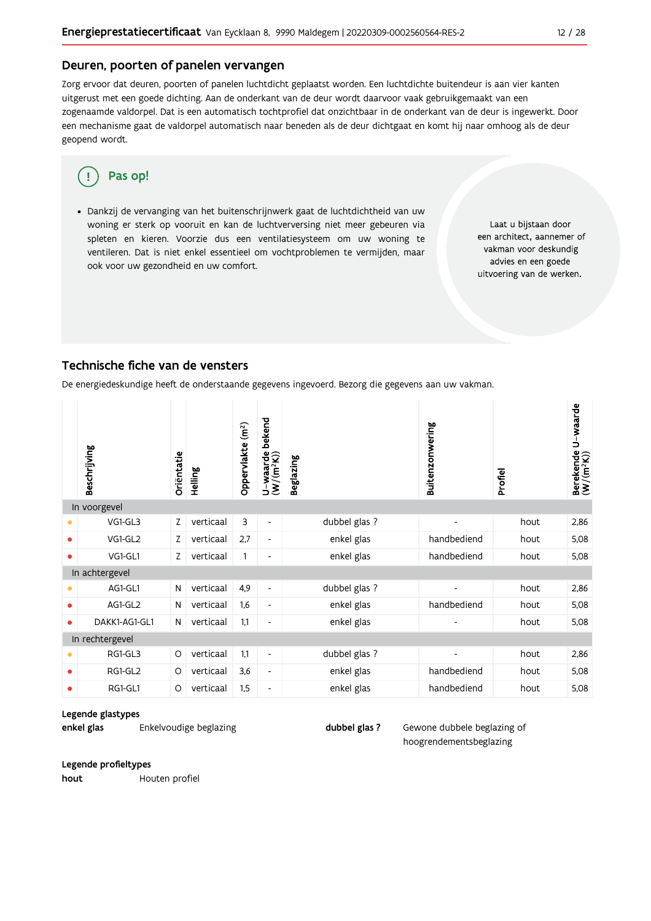### Deuren, poorten of panelen vervangen

Zorg ervoor dat deuren, poorten of panelen luchtdicht geplaatst worden. Een luchtdichte buitendeur is aan vier kanten uitgerust met een goede dichting. Aan de onderkant van de deur wordt daarvoor vaak gebruikgemaakt van een zogenaamde valdorpel. Dat is een automatisch tochtprofiel dat onzichtbaar in de onderkant van de deur is ingewerkt. Door een mechanisme gaat de valdorpel automatisch naar beneden als de deur dichtgaat en komt hij naar omhoog als de deur geopend wordt.

#### Pas op! ′ ∫

· Dankzij de vervanging van het buitenschrijnwerk gaat de luchtdichtheid van uw woning er sterk op vooruit en kan de luchtverversing niet meer gebeuren via spleten en kieren. Voorzie dus een ventilatiesysteem om uw woning te ventileren. Dat is niet enkel essentieel om vochtproblemen te vermijden, maar ook voor uw gezondheid en uw comfort.

Laat u bijstaan door een architect, aannemer of vakman voor deskundig advies en een goede uitvoering van de werken.

## Technische fiche van de vensters

De energiedeskundige heeft de onderstaande gegevens ingevoerd. Bezorg die gegevens aan uw vakman.

|                | Beschrijving    | Oriëntatie | Helling   | Oppervlakte (m <sup>2</sup> ) | bekend<br>$U$ –waarde<br>(W/(m <sup>2</sup> K)) | <b>Beglazing</b> | Buitenzonwering | Profiel | Berekende U-waarde<br>(W/(m <sup>2</sup> K)) |
|----------------|-----------------|------------|-----------|-------------------------------|-------------------------------------------------|------------------|-----------------|---------|----------------------------------------------|
|                | In voorgevel    |            |           |                               |                                                 |                  |                 |         |                                              |
| ۰              | VG1-GL3         | Ζ          | verticaal | 3                             | $\overline{\phantom{a}}$                        | dubbel glas ?    | $\overline{a}$  | hout    | 2,86                                         |
| ٠              | VG1-GL2         | Z          | verticaal | 2,7                           | $\overline{\phantom{a}}$                        | enkel glas       | handbediend     | hout    | 5,08                                         |
| 0              | VG1-GL1         | Z          | verticaal | $\mathbf{1}$                  | -                                               | enkel glas       | handbediend     | hout    | 5,08                                         |
| In achtergevel |                 |            |           |                               |                                                 |                  |                 |         |                                              |
|                | AG1-GL1         | N          | verticaal | 4,9                           | $\blacksquare$                                  | dubbel glas ?    |                 | hout    | 2,86                                         |
| ٠              | AG1-GL2         | N          | verticaal | 1,6                           | $\overline{\phantom{a}}$                        | enkel glas       | handbediend     | hout    | 5,08                                         |
| $\bullet$      | DAKK1-AG1-GL1   | N          | verticaal | 1,1                           | $\overline{\phantom{a}}$                        | enkel glas       |                 | hout    | 5,08                                         |
|                | In rechtergevel |            |           |                               |                                                 |                  |                 |         |                                              |
| ⋒              | RG1-GL3         | O          | verticaal | 1,1                           | $\overline{\phantom{a}}$                        | dubbel glas ?    |                 | hout    | 2,86                                         |
| ۰              | RG1-GL2         | O          | verticaal | 3,6                           | $\overline{\phantom{a}}$                        | enkel glas       | handbediend     | hout    | 5,08                                         |
| $\bullet$      | RG1-GL1         | O          | verticaal | 1,5                           | $\overline{\phantom{a}}$                        | enkel glas       | handbediend     | hout    | 5,08                                         |

#### Legende glastypes

enkel glas Enkelvoudige beglazing dubbel glas?

Gewone dubbele beglazing of hoogrendementsbeglazing

#### Legende profieltypes

hout Houten profiel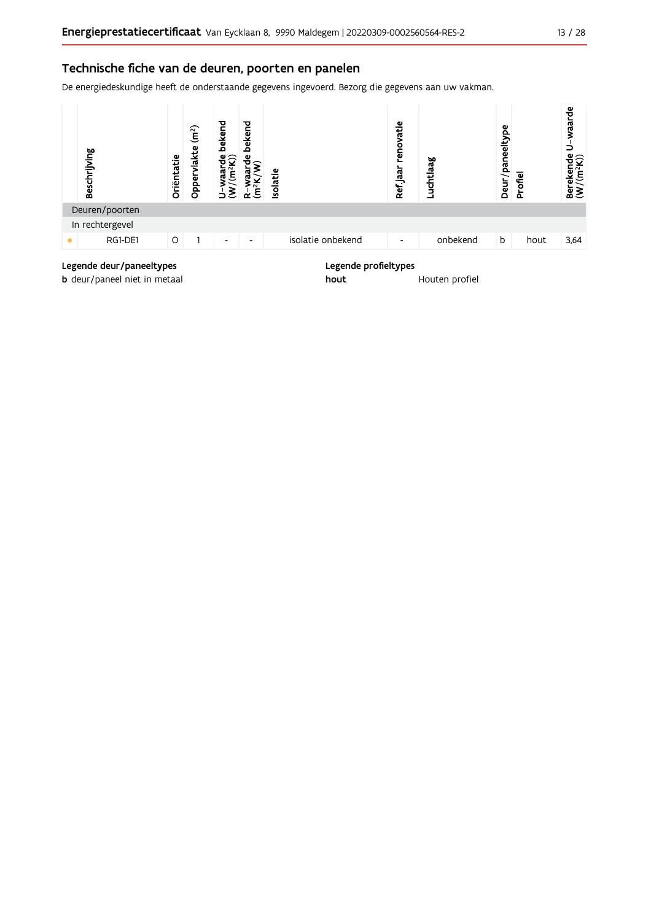## Technische fiche van de deuren, poorten en panelen

De energiedeskundige heeft de onderstaande gegevens ingevoerd. Bezorg die gegevens aan uw vakman.



### Legende deur/paneeltypes

**b** deur/paneel niet in metaal

#### Legende profieltypes

hout Houten profiel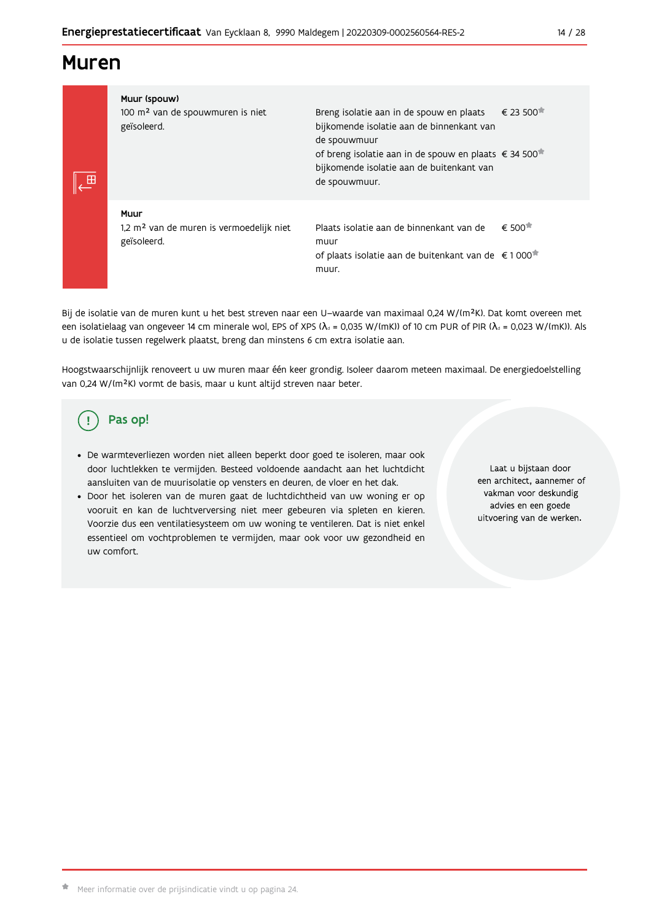# **Muren**

| -8 | Muur (spouw)<br>100 m <sup>2</sup> van de spouwmuren is niet<br>geïsoleerd. | Breng isolatie aan in de spouw en plaats<br>bijkomende isolatie aan de binnenkant van<br>de spouwmuur<br>of breng isolatie aan in de spouw en plaats € 34 500 <sup>*</sup><br>bijkomende isolatie aan de buitenkant van<br>de spouwmuur. | $\epsilon$ 23 500 $^{\ast}$ |
|----|-----------------------------------------------------------------------------|------------------------------------------------------------------------------------------------------------------------------------------------------------------------------------------------------------------------------------------|-----------------------------|
|    | Muur<br>1,2 m <sup>2</sup> van de muren is vermoedelijk niet<br>geïsoleerd. | Plaats isolatie aan de binnenkant van de<br>muur<br>of plaats isolatie aan de buitenkant van de €1000<br>muur.                                                                                                                           | € 500                       |

Bij de isolatie van de muren kunt u het best streven naar een U-waarde van maximaal 0,24 W/(m<sup>2</sup>K). Dat komt overeen met een isolatielaag van ongeveer 14 cm minerale wol, EPS of XPS ( $\lambda_a$  = 0,035 W/(mK)) of 10 cm PUR of PIR ( $\lambda_a$  = 0,023 W/(mK)). Als u de isolatie tussen regelwerk plaatst, breng dan minstens 6 cm extra isolatie aan.

Hoogstwaarschijnlijk renoveert u uw muren maar één keer grondig. Isoleer daarom meteen maximaal. De energiedoelstelling van 0,24 W/(m<sup>2</sup>K) vormt de basis, maar u kunt altijd streven naar beter.

# Pas op!

- · De warmteverliezen worden niet alleen beperkt door goed te isoleren, maar ook door luchtlekken te vermijden. Besteed voldoende aandacht aan het luchtdicht aansluiten van de muurisolatie op vensters en deuren, de vloer en het dak.
- · Door het isoleren van de muren gaat de luchtdichtheid van uw woning er op vooruit en kan de luchtverversing niet meer gebeuren via spleten en kieren. Voorzie dus een ventilatiesysteem om uw woning te ventileren. Dat is niet enkel essentieel om vochtproblemen te vermijden, maar ook voor uw gezondheid en uw comfort.

Laat u bijstaan door een architect, aannemer of vakman voor deskundig advies en een goede uitvoering van de werken.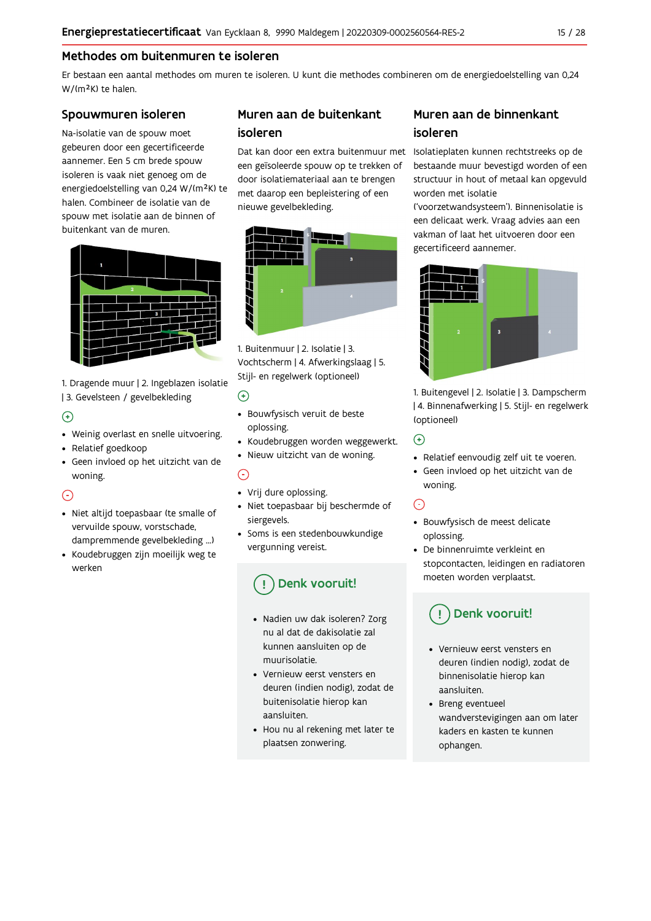# Methodes om buitenmuren te isoleren

Er bestaan een aantal methodes om muren te isoleren. U kunt die methodes combineren om de energiedoelstelling van 0,24 W/(m<sup>2</sup>K) te halen.

### Spouwmuren isoleren

Na-isolatie van de spouw moet gebeuren door een gecertificeerde aannemer. Een 5 cm brede spouw isoleren is vaak niet genoeg om de energiedoelstelling van 0,24 W/(m<sup>2</sup>K) te halen. Combineer de isolatie van de spouw met isolatie aan de binnen of buitenkant van de muren.



1. Dragende muur | 2. Ingeblazen isolatie | 3. Gevelsteen / gevelbekleding

## $\bigoplus$

- Weinig overlast en snelle uitvoering.
- Relatief goedkoop
- · Geen invloed op het uitzicht van de woning.

# $\odot$

- · Niet altijd toepasbaar (te smalle of vervuilde spouw, vorstschade, dampremmende gevelbekleding ...)
- Koudebruggen zijn moeilijk weg te werken

# Muren aan de buitenkant isoleren

een geïsoleerde spouw op te trekken of door isolatiemateriaal aan te brengen met daarop een bepleistering of een nieuwe gevelbekleding.



1. Buitenmuur | 2. Isolatie | 3. Vochtscherm | 4. Afwerkingslaag | 5. Stijl- en regelwerk (optioneel)

### $\odot$

- · Bouwfysisch veruit de beste oplossing.
- Koudebruggen worden weggewerkt.
- · Nieuw uitzicht van de woning.

### $\odot$

- Vrij dure oplossing.
- · Niet toepasbaar bij beschermde of siergevels.
- Soms is een stedenbouwkundige vergunning vereist.

# Denk vooruit!

- · Nadien uw dak isoleren? Zorg nu al dat de dakisolatie zal kunnen aansluiten op de muurisolatie
- Vernieuw eerst vensters en deuren (indien nodig), zodat de buitenisolatie hierop kan aansluiten.
- Hou nu al rekening met later te plaatsen zonwering.

# Muren aan de binnenkant isoleren

Dat kan door een extra buitenmuur met Isolatieplaten kunnen rechtstreeks op de bestaande muur bevestigd worden of een structuur in hout of metaal kan opgevuld worden met isolatie

> ('voorzetwandsysteem'). Binnenisolatie is een delicaat werk. Vraag advies aan een vakman of laat het uitvoeren door een gecertificeerd aannemer.



1. Buitengevel | 2. Isolatie | 3. Dampscherm | 4. Binnenafwerking | 5. Stijl- en regelwerk (optioneel)

 $\bigodot$ 

- Relatief eenvoudig zelf uit te voeren.
- · Geen invloed op het uitzicht van de woning.

# $\odot$

- · Bouwfysisch de meest delicate oplossing.
- De binnenruimte verkleint en stopcontacten, leidingen en radiatoren moeten worden verplaatst.

# Denk vooruit!

- Vernieuw eerst vensters en deuren (indien nodig), zodat de binnenisolatie hierop kan aansluiten.
- Breng eventueel wandverstevigingen aan om later kaders en kasten te kunnen ophangen.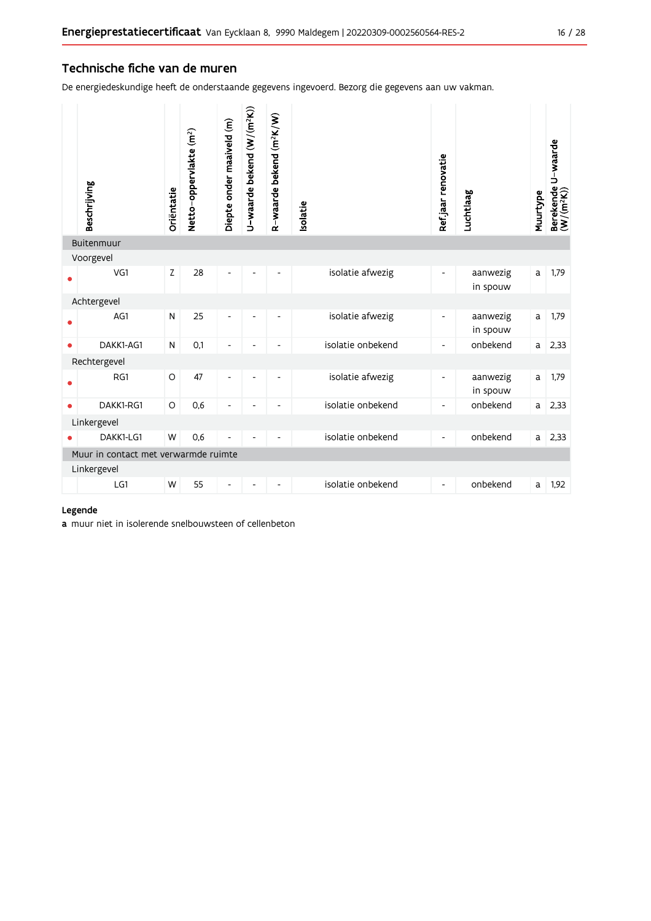## Technische fiche van de muren

De energiedeskundige heeft de onderstaande gegevens ingevoerd. Bezorg die gegevens aan uw vakman.

|             | Beschrijving                         | Oriëntatie | Netto-oppervlakte (m <sup>2</sup> ) | Diepte onder maaiveld (m) | U-waarde bekend (W/(m <sup>2</sup> K)) | R-waarde bekend (m <sup>2</sup> K/W) | solatie           | Ref.jaar renovatie       | Luchtlaag            | Muurtype | Berekende U-waarde<br>(W/(m <sup>2</sup> K)) |
|-------------|--------------------------------------|------------|-------------------------------------|---------------------------|----------------------------------------|--------------------------------------|-------------------|--------------------------|----------------------|----------|----------------------------------------------|
|             | Buitenmuur                           |            |                                     |                           |                                        |                                      |                   |                          |                      |          |                                              |
|             | Voorgevel                            |            |                                     |                           |                                        |                                      |                   |                          |                      |          |                                              |
|             | VG1                                  | Z          | 28                                  | Ĭ.                        |                                        | $\overline{\phantom{a}}$             | isolatie afwezig  | $\overline{\phantom{0}}$ | aanwezig<br>in spouw | a        | 1,79                                         |
| Achtergevel |                                      |            |                                     |                           |                                        |                                      |                   |                          |                      |          |                                              |
|             | AG1                                  | N          | 25                                  | L,                        |                                        |                                      | isolatie afwezig  | $\overline{\phantom{0}}$ | aanwezig<br>in spouw | a        | 1,79                                         |
| $\bullet$   | DAKK1-AG1                            | N          | 0,1                                 | $\overline{\phantom{a}}$  |                                        |                                      | isolatie onbekend | $\overline{\phantom{0}}$ | onbekend             | a        | 2,33                                         |
|             | Rechtergevel                         |            |                                     |                           |                                        |                                      |                   |                          |                      |          |                                              |
|             | RG1                                  | $\circ$    | 47                                  | $\overline{\phantom{0}}$  | ٠                                      | $\overline{\phantom{a}}$             | isolatie afwezig  | -                        | aanwezig<br>in spouw | a        | 1,79                                         |
| $\bullet$   | DAKK1-RG1                            | O          | 0,6                                 | $\overline{a}$            |                                        |                                      | isolatie onbekend | -                        | onbekend             | a        | 2,33                                         |
|             | Linkergevel                          |            |                                     |                           |                                        |                                      |                   |                          |                      |          |                                              |
|             | DAKK1-LG1                            | W          | 0,6                                 |                           |                                        |                                      | isolatie onbekend | $\overline{\phantom{0}}$ | onbekend             | a        | 2,33                                         |
|             | Muur in contact met verwarmde ruimte |            |                                     |                           |                                        |                                      |                   |                          |                      |          |                                              |
|             | Linkergevel                          |            |                                     |                           |                                        |                                      |                   |                          |                      |          |                                              |
|             | LG1                                  | W          | 55                                  | Ĭ.                        |                                        |                                      | isolatie onbekend | $\overline{\phantom{0}}$ | onbekend             | a        | 1,92                                         |

### Legende

a muur niet in isolerende snelbouwsteen of cellenbeton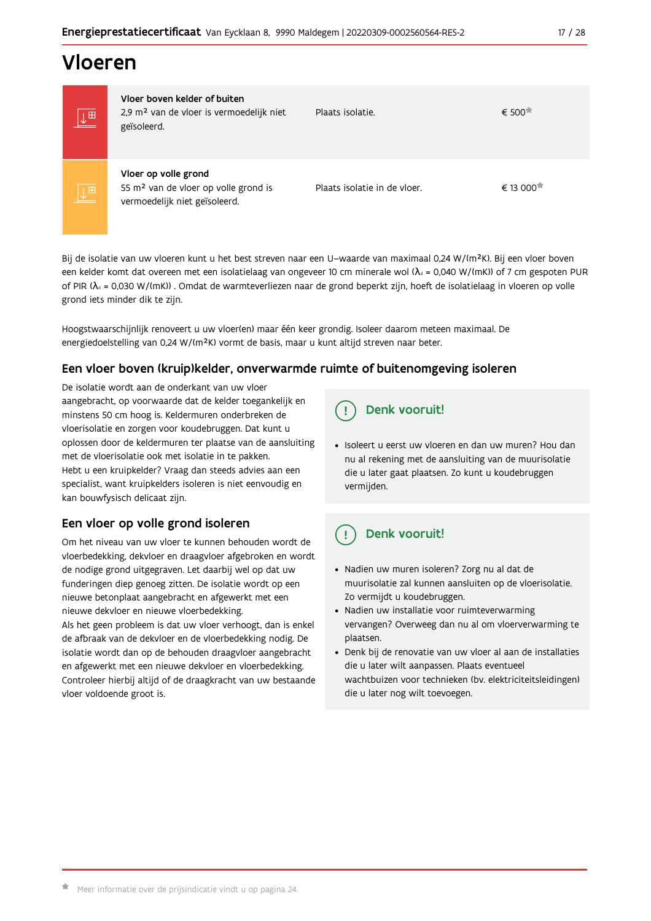# Vloeren

| 画                       | Vloer boven kelder of buiten<br>2,9 m <sup>2</sup> van de vloer is vermoedelijk niet<br>geïsoleerd.       | Plaats isolatie.             | $\epsilon$ 500        |
|-------------------------|-----------------------------------------------------------------------------------------------------------|------------------------------|-----------------------|
| $\overline{\mathbb{L}}$ | Vloer op volle grond<br>55 m <sup>2</sup> van de vloer op volle grond is<br>vermoedelijk niet geïsoleerd. | Plaats isolatie in de vloer. | € 13 000 <sup>★</sup> |

Bij de isolatie van uw vloeren kunt u het best streven naar een U-waarde van maximaal 0,24 W/(m<sup>2</sup>K). Bij een vloer boven een kelder komt dat overeen met een isolatielaag van ongeveer 10 cm minerale wol ( $\lambda_d$  = 0,040 W/(mK)) of 7 cm gespoten PUR of PIR ( $\lambda_4$  = 0,030 W/(mK)). Omdat de warmteverliezen naar de grond beperkt zijn, hoeft de isolatielaag in vloeren op volle grond iets minder dik te zijn.

Hoogstwaarschijnlijk renoveert u uw vloer(en) maar één keer grondig. Isoleer daarom meteen maximaal. De energiedoelstelling van 0,24 W/(m<sup>2</sup>K) vormt de basis, maar u kunt altijd streven naar beter.

## Een vloer boven (kruip) kelder, onverwarmde ruimte of buitenomgeving isoleren

De isolatie wordt aan de onderkant van uw vloer aangebracht, op voorwaarde dat de kelder toegankelijk en minstens 50 cm hoog is. Keldermuren onderbreken de vloerisolatie en zorgen voor koudebruggen. Dat kunt u oplossen door de keldermuren ter plaatse van de aansluiting met de vloerisolatie ook met isolatie in te pakken. Hebt u een kruipkelder? Vraag dan steeds advies aan een specialist, want kruipkelders isoleren is niet eenvoudig en kan bouwfysisch delicaat zijn.

# Een vloer op volle grond isoleren

Om het niveau van uw vloer te kunnen behouden wordt de vloerbedekking, dekvloer en draagvloer afgebroken en wordt de nodige grond uitgegraven. Let daarbij wel op dat uw funderingen diep genoeg zitten. De isolatie wordt op een nieuwe betonplaat aangebracht en afgewerkt met een nieuwe dekvloer en nieuwe vloerbedekking.

Als het geen probleem is dat uw vloer verhoogt, dan is enkel de afbraak van de dekvloer en de vloerbedekking nodig. De isolatie wordt dan op de behouden draagvloer aangebracht en afgewerkt met een nieuwe dekvloer en vloerbedekking. Controleer hierbij altijd of de draagkracht van uw bestaande vloer voldoende groot is.

#### Denk vooruit! Ţ

· Isoleert u eerst uw vloeren en dan uw muren? Hou dan nu al rekening met de aansluiting van de muurisolatie die u later gaat plaatsen. Zo kunt u koudebruggen vermijden.

#### Ţ Denk vooruit!

- · Nadien uw muren isoleren? Zorg nu al dat de muurisolatie zal kunnen aansluiten op de vloerisolatie. Zo vermijdt u koudebruggen.
- Nadien uw installatie voor ruimteverwarming vervangen? Overweeg dan nu al om vloerverwarming te plaatsen.
- · Denk bij de renovatie van uw vloer al aan de installaties die u later wilt aanpassen. Plaats eventueel wachtbuizen voor technieken (bv. elektriciteitsleidingen) die u later nog wilt toevoegen.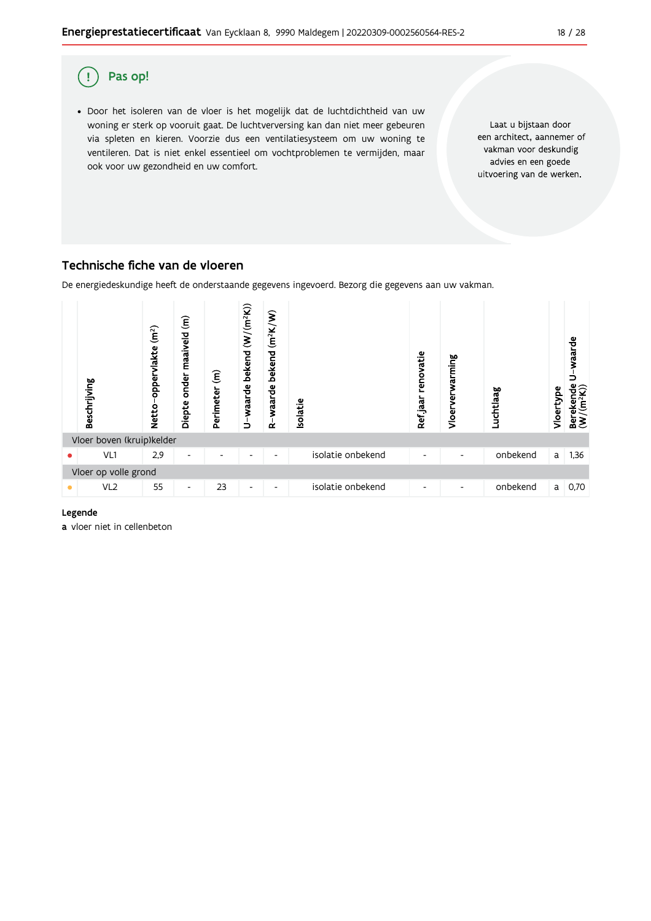

## Technische fiche van de vloeren

De energiedeskundige heeft de onderstaande gegevens ingevoerd. Bezorg die gegevens aan uw vakman.



#### Legende

a vloer niet in cellenbeton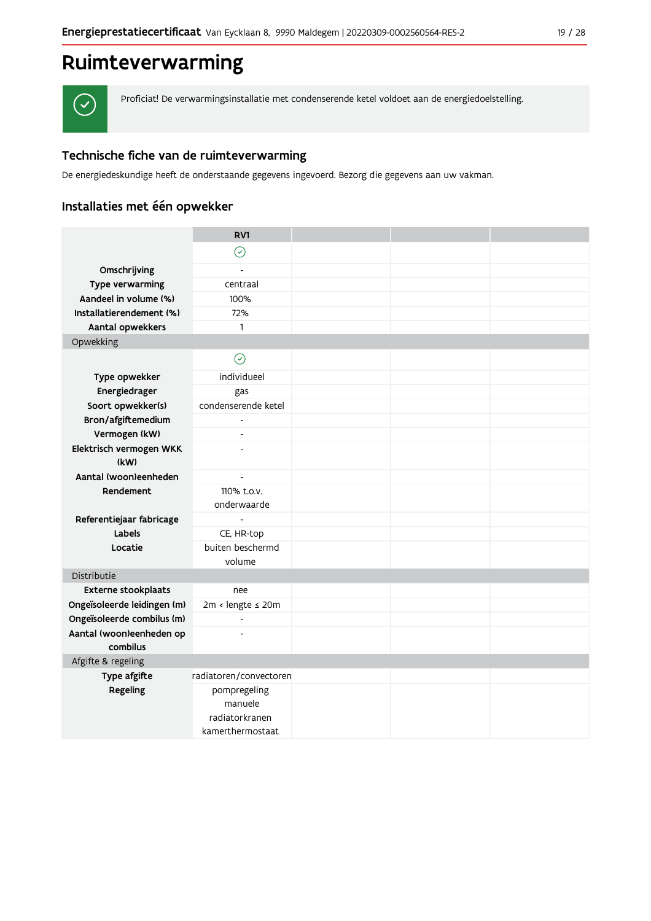# Ruimteverwarming



Proficiat! De verwarmingsinstallatie met condenserende ketel voldoet aan de energiedoelstelling.

# Technische fiche van de ruimteverwarming

De energiedeskundige heeft de onderstaande gegevens ingevoerd. Bezorg die gegevens aan uw vakman.

# Installaties met één opwekker

|                             | RV1                                       |  |  |
|-----------------------------|-------------------------------------------|--|--|
|                             | $\odot$                                   |  |  |
| Omschrijving                |                                           |  |  |
| Type verwarming             | centraal                                  |  |  |
| Aandeel in volume (%)       | 100%                                      |  |  |
| Installatierendement (%)    | 72%                                       |  |  |
| Aantal opwekkers            | $\mathbf{1}$                              |  |  |
| Opwekking                   |                                           |  |  |
|                             | $\odot$                                   |  |  |
| Type opwekker               | individueel                               |  |  |
| Energiedrager               | gas                                       |  |  |
| Soort opwekker(s)           | condenserende ketel                       |  |  |
| Bron/afgiftemedium          | $\overline{\phantom{a}}$                  |  |  |
| Vermogen (kW)               | $\overline{a}$                            |  |  |
| Elektrisch vermogen WKK     | $\overline{a}$                            |  |  |
| (kW)                        |                                           |  |  |
| Aantal (woon)eenheden       | $\overline{\phantom{a}}$                  |  |  |
| Rendement                   | 110% t.o.v.<br>onderwaarde                |  |  |
| Referentiejaar fabricage    | $\blacksquare$                            |  |  |
| Labels                      | CE, HR-top                                |  |  |
| Locatie                     | buiten beschermd                          |  |  |
|                             | volume                                    |  |  |
| Distributie                 |                                           |  |  |
| Externe stookplaats         | nee                                       |  |  |
| Ongeïsoleerde leidingen (m) | 2m < lengte ≤ 20m                         |  |  |
| Ongeïsoleerde combilus (m)  | $\blacksquare$                            |  |  |
| Aantal (woon)eenheden op    | $\overline{a}$                            |  |  |
| combilus                    |                                           |  |  |
| Afgifte & regeling          |                                           |  |  |
| Type afgifte                | radiatoren/convectoren                    |  |  |
| Regeling                    | pompregeling<br>manuele<br>radiatorkranen |  |  |
|                             | kamerthermostaat                          |  |  |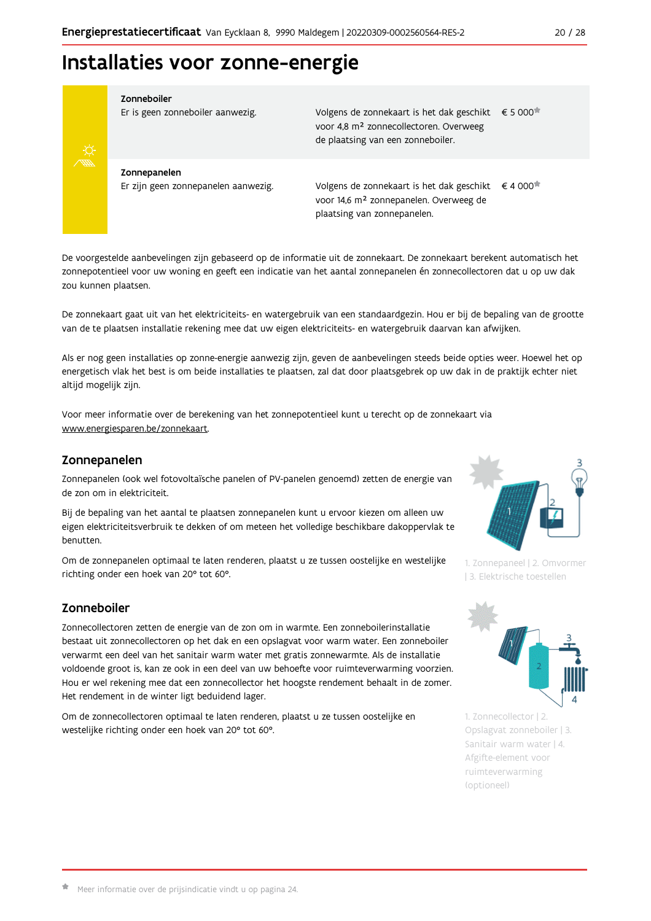# Installaties voor zonne-energie



#### Zonneboiler

Er is geen zonneboiler aanwezig.

Volgens de zonnekaart is het dak geschikt € 5 000 voor 4,8 m<sup>2</sup> zonnecollectoren. Overweeg de plaatsing van een zonneboiler.

Zonnepanelen Er zijn geen zonnepanelen aanwezig.

Volgens de zonnekaart is het dak geschikt  $\epsilon$  4 000<sup> $\star$ </sup> voor 14,6 m<sup>2</sup> zonnepanelen. Overweeg de plaatsing van zonnepanelen.

De voorgestelde aanbevelingen zijn gebaseerd op de informatie uit de zonnekaart. De zonnekaart berekent automatisch het zonnepotentieel voor uw woning en geeft een indicatie van het aantal zonnepanelen én zonnecollectoren dat u op uw dak zou kunnen plaatsen.

De zonnekaart gaat uit van het elektriciteits- en watergebruik van een standaardgezin. Hou er bij de bepaling van de grootte van de te plaatsen installatie rekening mee dat uw eigen elektriciteits- en watergebruik daarvan kan afwijken.

Als er nog geen installaties op zonne-energie aanwezig zijn, geven de aanbevelingen steeds beide opties weer. Hoewel het op energetisch vlak het best is om beide installaties te plaatsen, zal dat door plaatsgebrek op uw dak in de praktijk echter niet altijd mogelijk zijn.

Voor meer informatie over de berekening van het zonnepotentieel kunt u terecht op de zonnekaart via www.energiesparen.be/zonnekaart.

### Zonnepanelen

Zonnepanelen (ook wel fotovoltaïsche panelen of PV-panelen genoemd) zetten de energie van de zon om in elektriciteit.

Bij de bepaling van het aantal te plaatsen zonnepanelen kunt u ervoor kiezen om alleen uw eigen elektriciteitsverbruik te dekken of om meteen het volledige beschikbare dakoppervlak te benutten.

Om de zonnepanelen optimaal te laten renderen, plaatst u ze tussen oostelijke en westelijke richting onder een hoek van 20° tot 60°.

# Zonneboiler

Zonnecollectoren zetten de energie van de zon om in warmte. Een zonneboilerinstallatie bestaat uit zonnecollectoren op het dak en een opslagvat voor warm water. Een zonneboiler verwarmt een deel van het sanitair warm water met gratis zonnewarmte. Als de installatie voldoende groot is, kan ze ook in een deel van uw behoefte voor ruimteverwarming voorzien. Hou er wel rekening mee dat een zonnecollector het hoogste rendement behaalt in de zomer. Het rendement in de winter ligt beduidend lager.

Om de zonnecollectoren optimaal te laten renderen, plaatst u ze tussen oostelijke en westelijke richting onder een hoek van 20° tot 60°.



1. Zonnepaneel | 2. Omvormer | 3. Elektrische toestellen



1. Zonnecollector | 2. Opslagvat zonneboiler | 3. Sanitair warm water | 4. Afgifte-element voor ruimteverwarming (optioneel)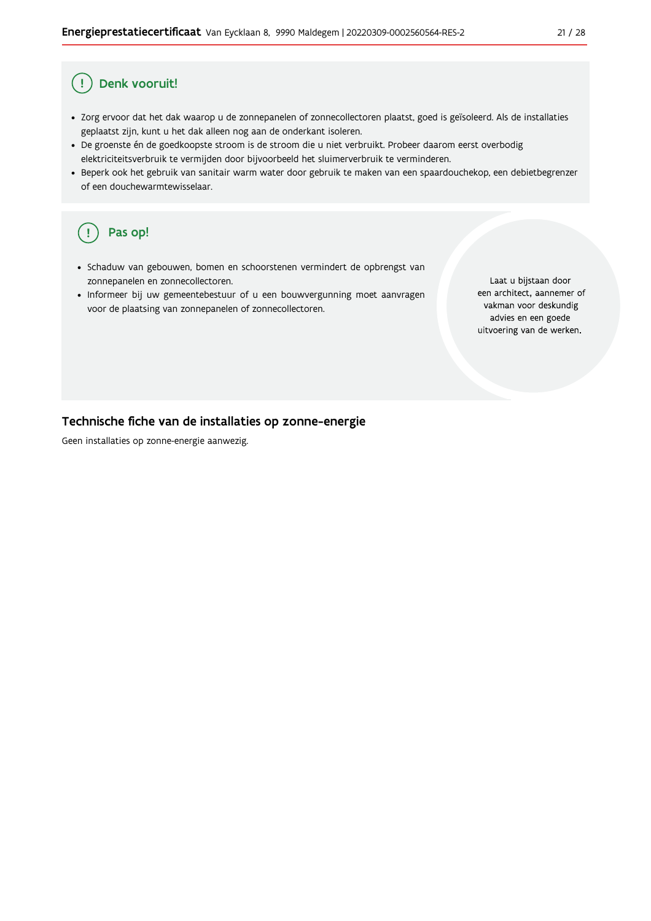#### Ţ Denk vooruit!

- · Zorg ervoor dat het dak waarop u de zonnepanelen of zonnecollectoren plaatst, goed is geïsoleerd. Als de installaties geplaatst zijn, kunt u het dak alleen nog aan de onderkant isoleren.
- · De groenste én de goedkoopste stroom is de stroom die u niet verbruikt. Probeer daarom eerst overbodig elektriciteitsverbruik te vermijden door bijvoorbeeld het sluimerverbruik te verminderen.
- · Beperk ook het gebruik van sanitair warm water door gebruik te maken van een spaardouchekop, een debietbegrenzer of een douchewarmtewisselaar.

#### Pas op! ( !

- · Schaduw van gebouwen, bomen en schoorstenen vermindert de opbrengst van zonnepanelen en zonnecollectoren.
- Informeer bij uw gemeentebestuur of u een bouwvergunning moet aanvragen voor de plaatsing van zonnepanelen of zonnecollectoren.

Laat u bijstaan door een architect, aannemer of vakman voor deskundig advies en een goede uitvoering van de werken.

### Technische fiche van de installaties op zonne-energie

Geen installaties op zonne-energie aanwezig.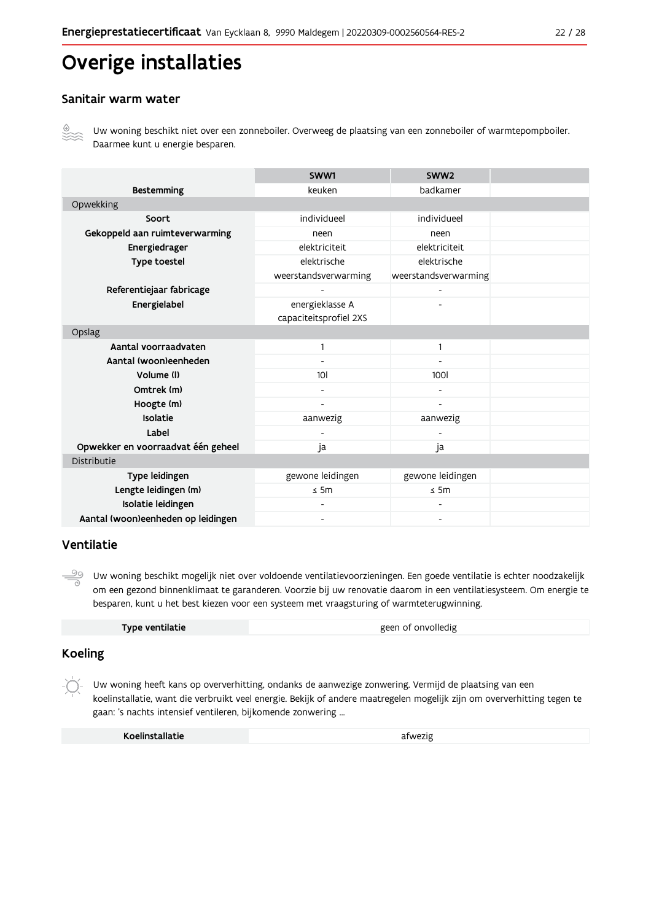# Overige installaties

## Sanitair warm water



Uw woning beschikt niet over een zonneboiler. Overweeg de plaatsing van een zonneboiler of warmtepompboiler. Daarmee kunt u energie besparen.

|                                    | SWW1                   | SWW <sub>2</sub>     |  |
|------------------------------------|------------------------|----------------------|--|
| <b>Bestemming</b>                  | keuken                 | badkamer             |  |
| Opwekking                          |                        |                      |  |
| Soort                              | individueel            | individueel          |  |
| Gekoppeld aan ruimteverwarming     | neen                   | neen                 |  |
| Energiedrager                      | elektriciteit          | elektriciteit        |  |
| Type toestel                       | elektrische            | elektrische          |  |
|                                    | weerstandsverwarming   | weerstandsverwarming |  |
| Referentiejaar fabricage           |                        |                      |  |
| Energielabel                       | energieklasse A        |                      |  |
|                                    | capaciteitsprofiel 2XS |                      |  |
| Opslag                             |                        |                      |  |
| Aantal voorraadvaten               | 1                      | $\mathbf{1}$         |  |
| Aantal (woon)eenheden              |                        |                      |  |
| Volume (I)                         | 10 <sup>1</sup>        | <b>100l</b>          |  |
| Omtrek (m)                         |                        |                      |  |
| Hoogte (m)                         |                        |                      |  |
| Isolatie                           | aanwezig               | aanwezig             |  |
| Label                              |                        |                      |  |
| Opwekker en voorraadvat één geheel | ja                     | ja                   |  |
| Distributie                        |                        |                      |  |
| Type leidingen                     | gewone leidingen       | gewone leidingen     |  |
| Lengte leidingen (m)               | $\leq$ 5m              | $\leq$ 5m            |  |
| Isolatie leidingen                 |                        |                      |  |
| Aantal (woon)eenheden op leidingen |                        |                      |  |

## Ventilatie

 $\stackrel{\circ}{\equiv}$ Uw woning beschikt mogelijk niet over voldoende ventilatievoorzieningen. Een goede ventilatie is echter noodzakelijk om een gezond binnenklimaat te garanderen. Voorzie bij uw renovatie daarom in een ventilatiesysteem. Om energie te besparen, kunt u het best kiezen voor een systeem met vraagsturing of warmteterugwinning.

| Type ventilatie | geen of onvolledig |
|-----------------|--------------------|
|                 |                    |

# **Koeling**

Uw woning heeft kans op oververhitting, ondanks de aanwezige zonwering. Vermijd de plaatsing van een koelinstallatie, want die verbruikt veel energie. Bekijk of andere maatregelen mogelijk zijn om oververhitting tegen te gaan: 's nachts intensief ventileren, bijkomende zonwering ...

| Koelinstallatie | afwezig |
|-----------------|---------|
|-----------------|---------|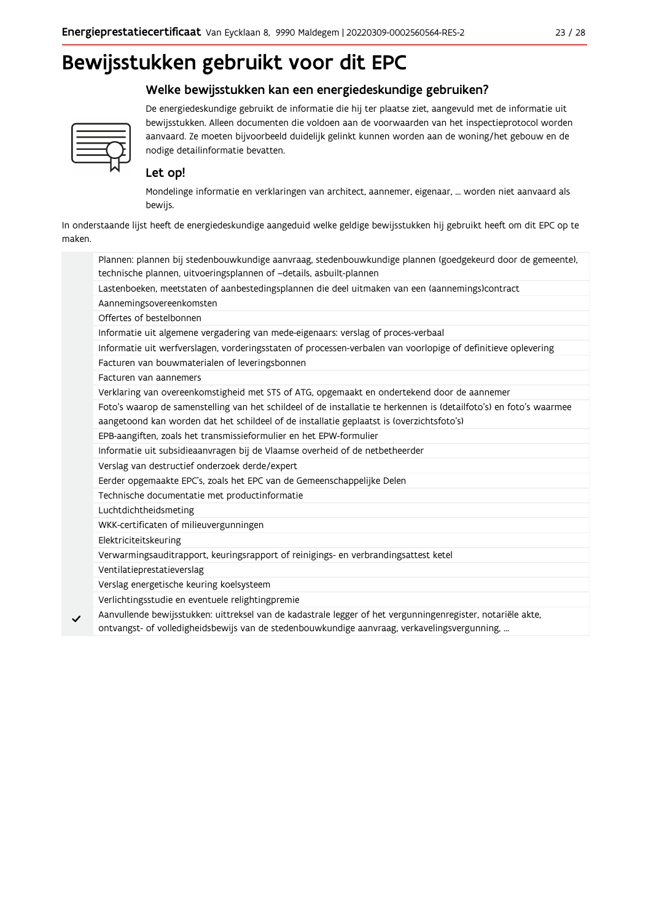# Welke bewijsstukken kan een energiedeskundige gebruiken?



De energiedeskundige gebruikt de informatie die hij ter plaatse ziet, aangevuld met de informatie uit bewijsstukken. Alleen documenten die voldoen aan de voorwaarden van het inspectieprotocol worden aanvaard. Ze moeten bijvoorbeeld duidelijk gelinkt kunnen worden aan de woning/het gebouw en de nodige detailinformatie bevatten.

# Let op!

Mondelinge informatie en verklaringen van architect, aannemer, eigenaar, ... worden niet aanvaard als bewijs.

In onderstaande lijst heeft de energiedeskundige aangeduid welke geldige bewijsstukken hij gebruikt heeft om dit EPC op te maken.

| Plannen: plannen bij stedenbouwkundige aanvraag, stedenbouwkundige plannen (goedgekeurd door de gemeente),          |
|---------------------------------------------------------------------------------------------------------------------|
| technische plannen, uitvoeringsplannen of -details, asbuilt-plannen                                                 |
| Lastenboeken, meetstaten of aanbestedingsplannen die deel uitmaken van een (aannemings)contract                     |
| Aannemingsovereenkomsten                                                                                            |
| Offertes of bestelbonnen                                                                                            |
| Informatie uit algemene vergadering van mede-eigenaars: verslag of proces-verbaal                                   |
| Informatie uit werfverslagen, vorderingsstaten of processen-verbalen van voorlopige of definitieve oplevering       |
| Facturen van bouwmaterialen of leveringsbonnen                                                                      |
| Facturen van aannemers                                                                                              |
| Verklaring van overeenkomstigheid met STS of ATG, opgemaakt en ondertekend door de aannemer                         |
| Foto's waarop de samenstelling van het schildeel of de installatie te herkennen is (detailfoto's) en foto's waarmee |
| aangetoond kan worden dat het schildeel of de installatie geplaatst is (overzichtsfoto's)                           |
| EPB-aangiften, zoals het transmissieformulier en het EPW-formulier                                                  |
| Informatie uit subsidieaanvragen bij de Vlaamse overheid of de netbetheerder                                        |
| Verslag van destructief onderzoek derde/expert                                                                      |
| Eerder opgemaakte EPC's, zoals het EPC van de Gemeenschappelijke Delen                                              |
| Technische documentatie met productinformatie                                                                       |
| Luchtdichtheidsmeting                                                                                               |
| WKK-certificaten of milieuvergunningen                                                                              |
| Elektriciteitskeuring                                                                                               |
| Verwarmingsauditrapport, keuringsrapport of reinigings- en verbrandingsattest ketel                                 |
| Ventilatieprestatieverslag                                                                                          |
| Verslag energetische keuring koelsysteem                                                                            |
| Verlichtingsstudie en eventuele relightingpremie                                                                    |
| Aanvullende bewijsstukken: uittreksel van de kadastrale legger of het vergunningenregister, notariële akte,         |
| ontvangst- of volledigheidsbewijs van de stedenbouwkundige aanvraag, verkavelingsvergunning,                        |
|                                                                                                                     |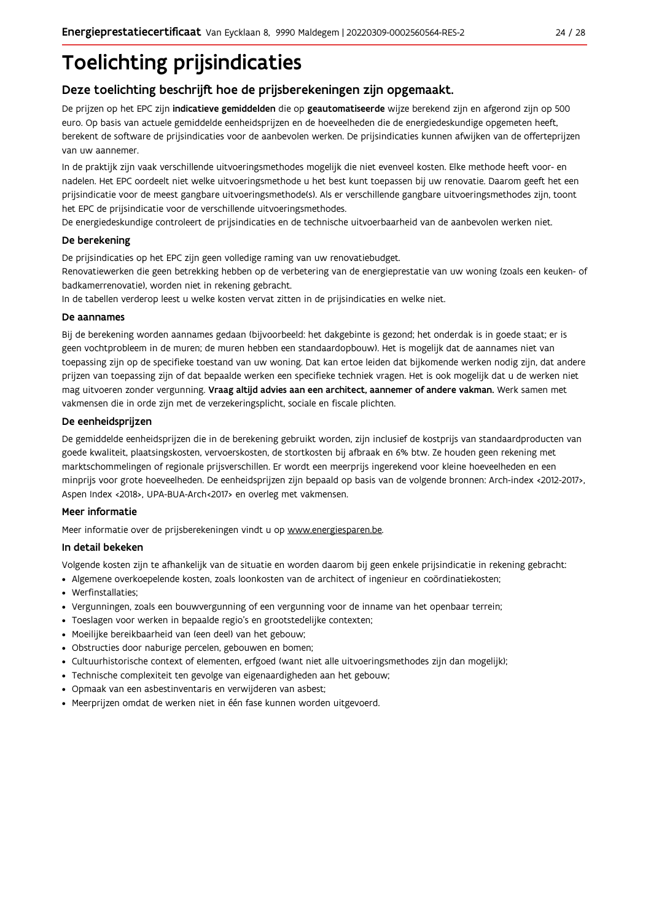# **Toelichting prijsindicaties**

# Deze toelichting beschrijft hoe de prijsberekeningen zijn opgemaakt.

De prijzen op het EPC zijn indicatieve gemiddelden die op geautomatiseerde wijze berekend zijn en afgerond zijn op 500 euro. Op basis van actuele gemiddelde eenheidsprijzen en de hoeveelheden die de energiedeskundige opgemeten heeft, berekent de software de prijsindicaties voor de aanbevolen werken. De prijsindicaties kunnen afwijken van de offerteprijzen van uw aannemer.

In de praktijk zijn vaak verschillende uitvoeringsmethodes mogelijk die niet evenveel kosten. Elke methode heeft voor- en nadelen. Het EPC oordeelt niet welke uitvoeringsmethode u het best kunt toepassen bij uw renovatie. Daarom geeft het een prijsindicatie voor de meest gangbare uitvoeringsmethode(s). Als er verschillende gangbare uitvoeringsmethodes zijn, toont het EPC de prijsindicatie voor de verschillende uitvoeringsmethodes.

De energiedeskundige controleert de prijsindicaties en de technische uitvoerbaarheid van de aanbevolen werken niet.

#### De berekening

De prijsindicaties op het EPC zijn geen volledige raming van uw renovatiebudget.

Renovatiewerken die geen betrekking hebben op de verbetering van de energieprestatie van uw woning (zoals een keuken- of badkamerrenovatie), worden niet in rekening gebracht.

In de tabellen verderop leest u welke kosten vervat zitten in de prijsindicaties en welke niet.

#### De aannames

Bij de berekening worden aannames gedaan (bijvoorbeeld: het dakgebinte is gezond; het onderdak is in goede staat; er is geen vochtprobleem in de muren; de muren hebben een standaardopbouw). Het is mogelijk dat de aannames niet van toepassing zijn op de specifieke toestand van uw woning. Dat kan ertoe leiden dat bijkomende werken nodig zijn, dat andere prijzen van toepassing zijn of dat bepaalde werken een specifieke techniek vragen. Het is ook mogelijk dat u de werken niet mag uitvoeren zonder vergunning. Vraag altijd advies aan een architect, aannemer of andere vakman. Werk samen met vakmensen die in orde zijn met de verzekeringsplicht, sociale en fiscale plichten.

#### De eenheidsprijzen

De gemiddelde eenheidspriizen die in de berekening gebruikt worden, zijn inclusief de kostpriis van standaardproducten van goede kwaliteit, plaatsingskosten, vervoerskosten, de stortkosten bij afbraak en 6% btw. Ze houden geen rekening met marktschommelingen of regionale prijsverschillen. Er wordt een meerprijs ingerekend voor kleine hoeveelheden en een minprijs voor grote hoeveelheden. De eenheidsprijzen zijn bepaald op basis van de volgende bronnen: Arch-index <2012-2017>, Aspen Index <2018>, UPA-BUA-Arch<2017> en overleg met vakmensen.

#### Meer informatie

Meer informatie over de prijsberekeningen vindt u op www.energiesparen.be.

### In detail bekeken

Volgende kosten zijn te afhankelijk van de situatie en worden daarom bij geen enkele prijsindicatie in rekening gebracht:

- Algemene overkoepelende kosten, zoals loonkosten van de architect of ingenieur en coördinatiekosten;
- Werfinstallaties:
- · Vergunningen, zoals een bouwvergunning of een vergunning voor de inname van het openbaar terrein;
- Toeslagen voor werken in bepaalde regio's en grootstedelijke contexten:
- · Moeilijke bereikbaarheid van (een deel) van het gebouw;
- · Obstructies door naburige percelen, gebouwen en bomen;
- · Cultuurhistorische context of elementen, erfgoed (want niet alle uitvoeringsmethodes zijn dan mogelijk);
- · Technische complexiteit ten gevolge van eigenaardigheden aan het gebouw;
- · Opmaak van een asbestinventaris en verwijderen van asbest;
- · Meerprijzen omdat de werken niet in één fase kunnen worden uitgevoerd.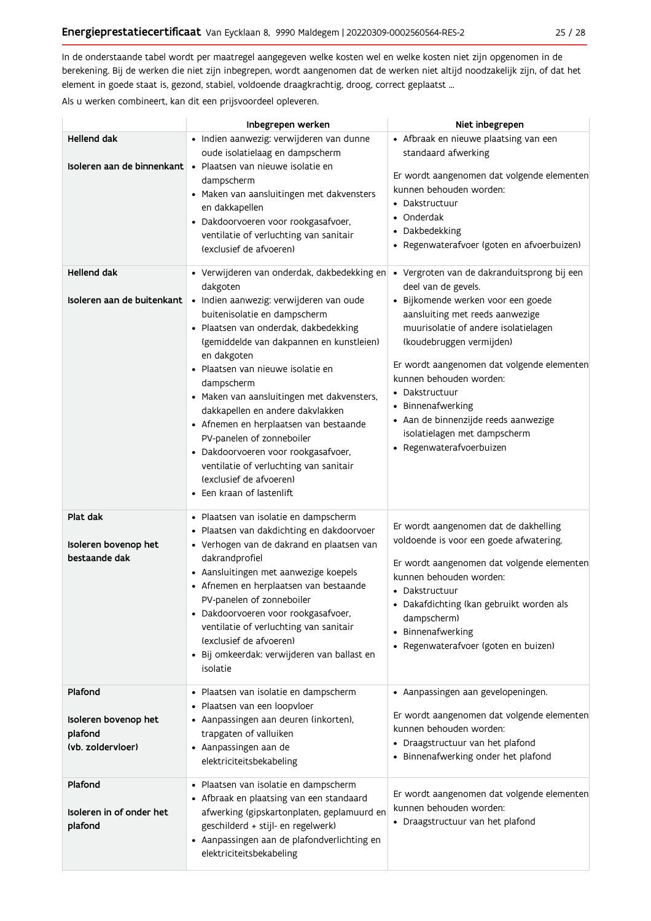In de onderstaande tabel wordt per maatregel aangegeven welke kosten wel en welke kosten niet zijn opgenomen in de berekening. Bij de werken die niet zijn inbegrepen, wordt aangenomen dat de werken niet altijd noodzakelijk zijn, of dat het element in goede staat is, gezond, stabiel, voldoende draagkrachtig, droog, correct geplaatst ...

Als u werken combineert, kan dit een prijsvoordeel opleveren.

|                                                                 | Inbegrepen werken                                                                                                                                                                                                                                                                                                                                                                                                                                                                                                                                                                           | Niet inbegrepen                                                                                                                                                                                                                                                                                                                                                                                                                     |
|-----------------------------------------------------------------|---------------------------------------------------------------------------------------------------------------------------------------------------------------------------------------------------------------------------------------------------------------------------------------------------------------------------------------------------------------------------------------------------------------------------------------------------------------------------------------------------------------------------------------------------------------------------------------------|-------------------------------------------------------------------------------------------------------------------------------------------------------------------------------------------------------------------------------------------------------------------------------------------------------------------------------------------------------------------------------------------------------------------------------------|
| Hellend dak<br>Isoleren aan de binnenkant                       | · Indien aanwezig: verwijderen van dunne<br>oude isolatielaag en dampscherm<br>· Plaatsen van nieuwe isolatie en<br>dampscherm<br>· Maken van aansluitingen met dakvensters<br>en dakkapellen<br>· Dakdoorvoeren voor rookgasafvoer,<br>ventilatie of verluchting van sanitair<br>(exclusief de afvoeren)                                                                                                                                                                                                                                                                                   | • Afbraak en nieuwe plaatsing van een<br>standaard afwerking<br>Er wordt aangenomen dat volgende elementen<br>kunnen behouden worden:<br>• Dakstructuur<br>• Onderdak<br>• Dakbedekking<br>· Regenwaterafvoer (goten en afvoerbuizen)                                                                                                                                                                                               |
| <b>Hellend dak</b><br>Isoleren aan de buitenkant                | • Verwijderen van onderdak, dakbedekking en<br>dakgoten<br>· Indien aanwezig: verwijderen van oude<br>buitenisolatie en dampscherm<br>· Plaatsen van onderdak, dakbedekking<br>(gemiddelde van dakpannen en kunstleien)<br>en dakgoten<br>· Plaatsen van nieuwe isolatie en<br>dampscherm<br>· Maken van aansluitingen met dakvensters,<br>dakkapellen en andere dakvlakken<br>• Afnemen en herplaatsen van bestaande<br>PV-panelen of zonneboiler<br>· Dakdoorvoeren voor rookgasafvoer,<br>ventilatie of verluchting van sanitair<br>(exclusief de afvoeren)<br>• Een kraan of lastenlift | · Vergroten van de dakranduitsprong bij een<br>deel van de gevels.<br>· Bijkomende werken voor een goede<br>aansluiting met reeds aanwezige<br>muurisolatie of andere isolatielagen<br>(koudebruggen vermijden)<br>Er wordt aangenomen dat volgende elementen<br>kunnen behouden worden:<br>• Dakstructuur<br>• Binnenafwerking<br>· Aan de binnenzijde reeds aanwezige<br>isolatielagen met dampscherm<br>· Regenwaterafvoerbuizen |
| Plat dak<br>Isoleren bovenop het<br>bestaande dak               | · Plaatsen van isolatie en dampscherm<br>· Plaatsen van dakdichting en dakdoorvoer<br>· Verhogen van de dakrand en plaatsen van<br>dakrandprofiel<br>• Aansluitingen met aanwezige koepels<br>• Afnemen en herplaatsen van bestaande<br>PV-panelen of zonneboiler<br>· Dakdoorvoeren voor rookgasafvoer,<br>ventilatie of verluchting van sanitair<br>(exclusief de afvoeren)<br>· Bij omkeerdak: verwijderen van ballast en<br>isolatie                                                                                                                                                    | Er wordt aangenomen dat de dakhelling<br>voldoende is voor een goede afwatering.<br>Er wordt aangenomen dat volgende elementen<br>kunnen behouden worden:<br>• Dakstructuur<br>• Dakafdichting (kan gebruikt worden als<br>dampscherm)<br>• Binnenafwerking<br>• Regenwaterafvoer (goten en buizen)                                                                                                                                 |
| Plafond<br>Isoleren bovenop het<br>plafond<br>(vb. zoldervloer) | · Plaatsen van isolatie en dampscherm<br>· Plaatsen van een loopvloer<br>• Aanpassingen aan deuren (inkorten),<br>trapgaten of valluiken<br>• Aanpassingen aan de<br>elektriciteitsbekabeling                                                                                                                                                                                                                                                                                                                                                                                               | • Aanpassingen aan gevelopeningen.<br>Er wordt aangenomen dat volgende elementen<br>kunnen behouden worden:<br>• Draagstructuur van het plafond<br>• Binnenafwerking onder het plafond                                                                                                                                                                                                                                              |
| Plafond<br>Isoleren in of onder het<br>plafond                  | · Plaatsen van isolatie en dampscherm<br>• Afbraak en plaatsing van een standaard<br>afwerking (gipskartonplaten, geplamuurd en<br>geschilderd + stijl- en regelwerk)<br>• Aanpassingen aan de plafondverlichting en<br>elektriciteitsbekabeling                                                                                                                                                                                                                                                                                                                                            | Er wordt aangenomen dat volgende elementen<br>kunnen behouden worden:<br>• Draagstructuur van het plafond                                                                                                                                                                                                                                                                                                                           |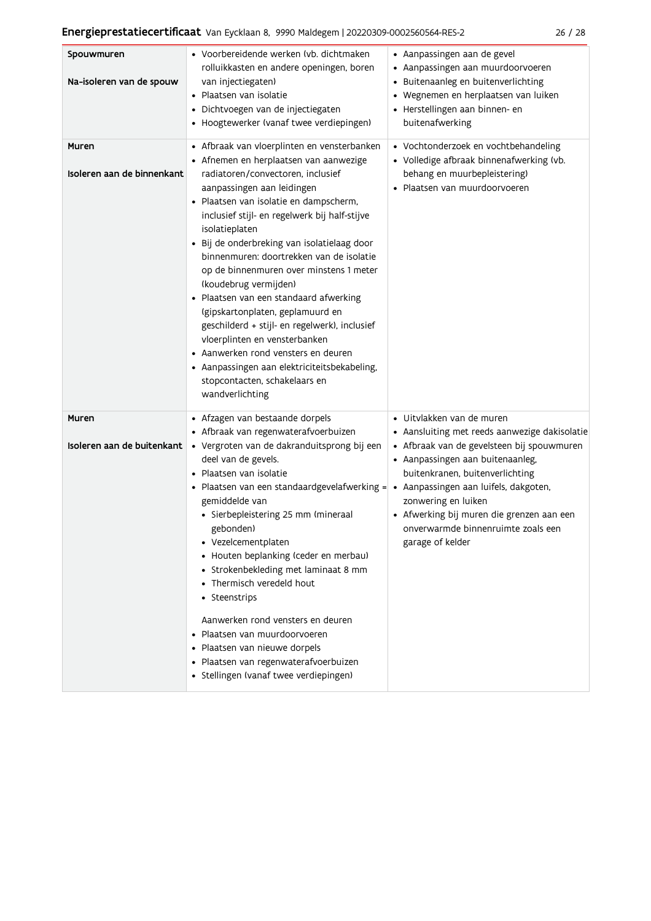|  | ×<br>۰. |
|--|---------|
|--|---------|

| Spouwmuren<br>Na-isoleren van de spouw | • Voorbereidende werken (vb. dichtmaken<br>rolluikkasten en andere openingen, boren<br>van injectiegaten)<br>· Plaatsen van isolatie<br>· Dichtvoegen van de injectiegaten<br>• Hoogtewerker (vanaf twee verdiepingen)                                                                                                                                                                                                                                                                                                                                                                                                                                                                                                                          | · Aanpassingen aan de gevel<br>• Aanpassingen aan muurdoorvoeren<br>• Buitenaanleg en buitenverlichting<br>• Wegnemen en herplaatsen van luiken<br>· Herstellingen aan binnen- en<br>buitenafwerking                                                                                                                          |
|----------------------------------------|-------------------------------------------------------------------------------------------------------------------------------------------------------------------------------------------------------------------------------------------------------------------------------------------------------------------------------------------------------------------------------------------------------------------------------------------------------------------------------------------------------------------------------------------------------------------------------------------------------------------------------------------------------------------------------------------------------------------------------------------------|-------------------------------------------------------------------------------------------------------------------------------------------------------------------------------------------------------------------------------------------------------------------------------------------------------------------------------|
| Muren<br>Isoleren aan de binnenkant    | • Afbraak van vloerplinten en vensterbanken<br>• Afnemen en herplaatsen van aanwezige<br>radiatoren/convectoren, inclusief<br>aanpassingen aan leidingen<br>· Plaatsen van isolatie en dampscherm,<br>inclusief stijl- en regelwerk bij half-stijve<br>isolatieplaten<br>· Bij de onderbreking van isolatielaag door<br>binnenmuren: doortrekken van de isolatie<br>op de binnenmuren over minstens 1 meter<br>(koudebrug vermijden)<br>· Plaatsen van een standaard afwerking<br>(gipskartonplaten, geplamuurd en<br>geschilderd + stijl- en regelwerk), inclusief<br>vloerplinten en vensterbanken<br>• Aanwerken rond vensters en deuren<br>• Aanpassingen aan elektriciteitsbekabeling,<br>stopcontacten, schakelaars en<br>wandverlichting | • Vochtonderzoek en vochtbehandeling<br>• Volledige afbraak binnenafwerking (vb.<br>behang en muurbepleistering)<br>· Plaatsen van muurdoorvoeren                                                                                                                                                                             |
| Muren<br>Isoleren aan de buitenkant    | • Afzagen van bestaande dorpels<br>• Afbraak van regenwaterafvoerbuizen<br>· Vergroten van de dakranduitsprong bij een<br>deel van de gevels.<br>· Plaatsen van isolatie<br>• Plaatsen van een standaardgevelafwerking = • Aanpassingen aan luifels, dakgoten,<br>gemiddelde van<br>· Sierbepleistering 25 mm (mineraal<br>gebonden)<br>Vezelcementplaten<br>• Houten beplanking (ceder en merbau)<br>• Strokenbekleding met laminaat 8 mm<br>• Thermisch veredeld hout<br>• Steenstrips<br>Aanwerken rond vensters en deuren<br>• Plaatsen van muurdoorvoeren<br>• Plaatsen van nieuwe dorpels<br>· Plaatsen van regenwaterafvoerbuizen<br>· Stellingen (vanaf twee verdiepingen)                                                              | • Uitvlakken van de muren<br>• Aansluiting met reeds aanwezige dakisolatie<br>• Afbraak van de gevelsteen bij spouwmuren<br>• Aanpassingen aan buitenaanleg,<br>buitenkranen, buitenverlichting<br>zonwering en luiken<br>• Afwerking bij muren die grenzen aan een<br>onverwarmde binnenruimte zoals een<br>garage of kelder |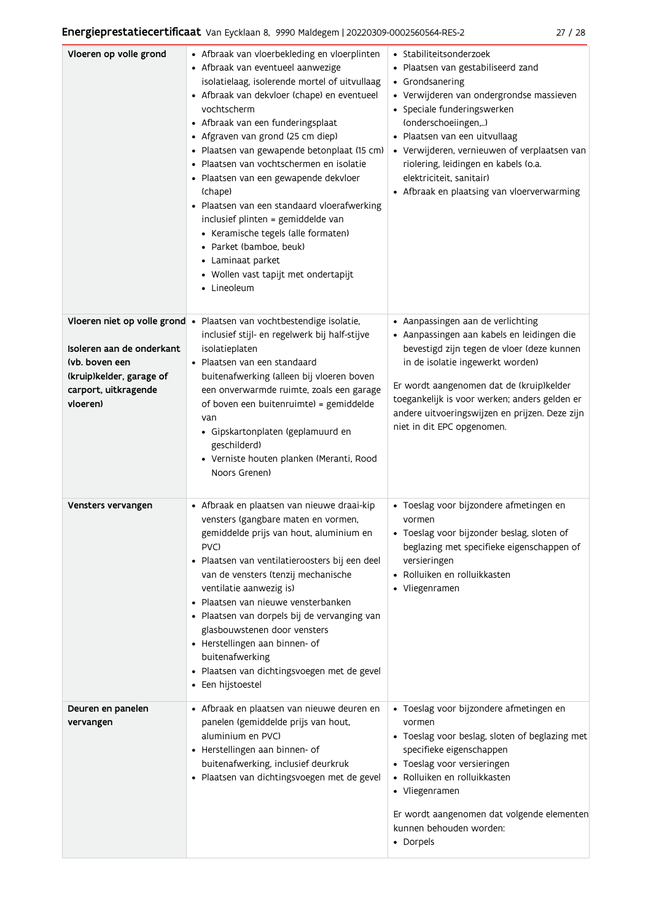| Vloeren op volle grond                                                                                      | • Afbraak van vloerbekleding en vloerplinten<br>• Afbraak van eventueel aanwezige<br>isolatielaag, isolerende mortel of uitvullaag<br>• Afbraak van dekvloer (chape) en eventueel<br>vochtscherm<br>• Afbraak van een funderingsplaat<br>• Afgraven van grond (25 cm diep)<br>· Plaatsen van gewapende betonplaat (15 cm)<br>· Plaatsen van vochtschermen en isolatie<br>· Plaatsen van een gewapende dekvloer<br>(chape)<br>· Plaatsen van een standaard vloerafwerking<br>inclusief plinten = gemiddelde van<br>• Keramische tegels (alle formaten)<br>· Parket (bamboe, beuk)<br>• Laminaat parket<br>• Wollen vast tapijt met ondertapijt<br>• Lineoleum | • Stabiliteitsonderzoek<br>· Plaatsen van gestabiliseerd zand<br>• Grondsanering<br>· Verwijderen van ondergrondse massieven<br>• Speciale funderingswerken<br>(onderschoeiingen,)<br>· Plaatsen van een uitvullaag<br>• Verwijderen, vernieuwen of verplaatsen van<br>riolering, leidingen en kabels (o.a.<br>elektriciteit, sanitair)<br>• Afbraak en plaatsing van vloerverwarming |
|-------------------------------------------------------------------------------------------------------------|--------------------------------------------------------------------------------------------------------------------------------------------------------------------------------------------------------------------------------------------------------------------------------------------------------------------------------------------------------------------------------------------------------------------------------------------------------------------------------------------------------------------------------------------------------------------------------------------------------------------------------------------------------------|---------------------------------------------------------------------------------------------------------------------------------------------------------------------------------------------------------------------------------------------------------------------------------------------------------------------------------------------------------------------------------------|
| Isoleren aan de onderkant<br>(vb. boven een<br>(kruip)kelder, garage of<br>carport, uitkragende<br>vloeren) | Vloeren niet op volle grond · Plaatsen van vochtbestendige isolatie,<br>inclusief stijl- en regelwerk bij half-stijve<br>isolatieplaten<br>· Plaatsen van een standaard<br>buitenafwerking (alleen bij vloeren boven<br>een onverwarmde ruimte, zoals een garage<br>of boven een buitenruimte) = gemiddelde<br>van<br>· Gipskartonplaten (geplamuurd en<br>geschilderd)<br>· Verniste houten planken (Meranti, Rood<br>Noors Grenen)                                                                                                                                                                                                                         | • Aanpassingen aan de verlichting<br>· Aanpassingen aan kabels en leidingen die<br>bevestigd zijn tegen de vloer (deze kunnen<br>in de isolatie ingewerkt worden)<br>Er wordt aangenomen dat de (kruip)kelder<br>toegankelijk is voor werken; anders gelden er<br>andere uitvoeringswijzen en prijzen. Deze zijn<br>niet in dit EPC opgenomen.                                        |
| Vensters vervangen                                                                                          | · Afbraak en plaatsen van nieuwe draai-kip<br>vensters (gangbare maten en vormen,<br>gemiddelde prijs van hout, aluminium en<br>PVC)<br>· Plaatsen van ventilatieroosters bij een deel<br>van de vensters (tenzij mechanische<br>ventilatie aanwezig is)<br>· Plaatsen van nieuwe vensterbanken<br>· Plaatsen van dorpels bij de vervanging van<br>glasbouwstenen door vensters<br>• Herstellingen aan binnen- of<br>buitenafwerking<br>· Plaatsen van dichtingsvoegen met de gevel<br>• Een hijstoestel                                                                                                                                                     | · Toeslag voor bijzondere afmetingen en<br>vormen<br>· Toeslag voor bijzonder beslag, sloten of<br>beglazing met specifieke eigenschappen of<br>versieringen<br>• Rolluiken en rolluikkasten<br>• Vliegenramen                                                                                                                                                                        |
| Deuren en panelen<br>vervangen                                                                              | • Afbraak en plaatsen van nieuwe deuren en<br>panelen (gemiddelde prijs van hout,<br>aluminium en PVC)<br>• Herstellingen aan binnen- of<br>buitenafwerking, inclusief deurkruk<br>· Plaatsen van dichtingsvoegen met de gevel                                                                                                                                                                                                                                                                                                                                                                                                                               | · Toeslag voor bijzondere afmetingen en<br>vormen<br>• Toeslag voor beslag, sloten of beglazing met<br>specifieke eigenschappen<br>• Toeslag voor versieringen<br>• Rolluiken en rolluikkasten<br>• Vliegenramen<br>Er wordt aangenomen dat volgende elementen<br>kunnen behouden worden:<br>• Dorpels                                                                                |